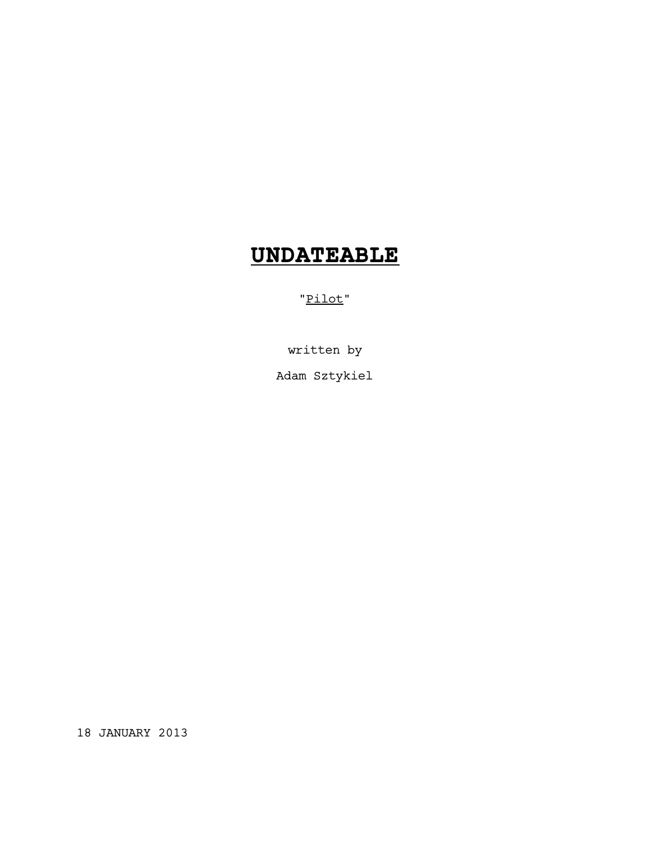# **UNDATEABLE**

"Pilot"

written by

Adam Sztykiel

18 JANUARY 2013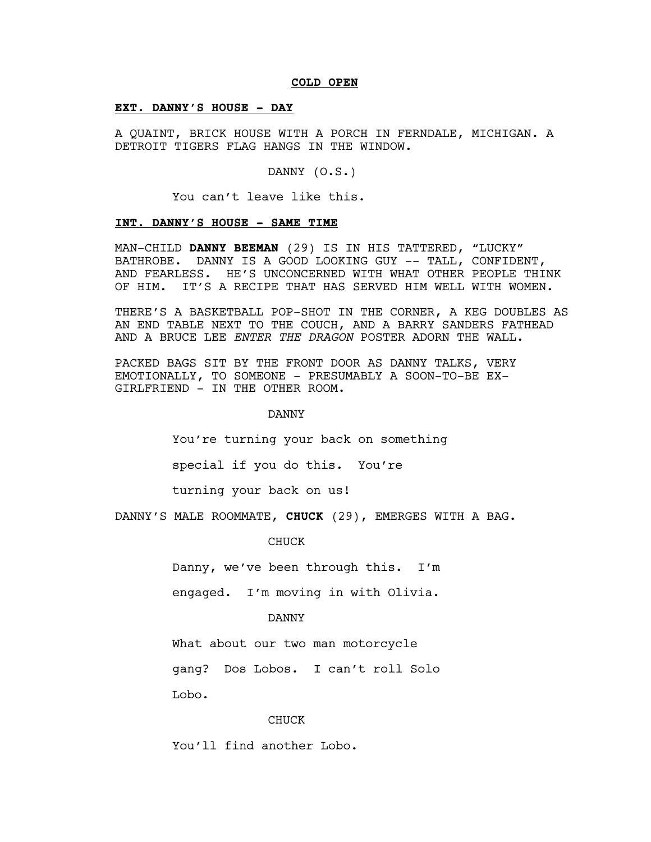#### **COLD OPEN**

#### **EXT. DANNY'S HOUSE - DAY**

A QUAINT, BRICK HOUSE WITH A PORCH IN FERNDALE, MICHIGAN. A DETROIT TIGERS FLAG HANGS IN THE WINDOW.

DANNY (O.S.)

You can't leave like this.

### **INT. DANNY'S HOUSE - SAME TIME**

MAN-CHILD **DANNY BEEMAN** (29) IS IN HIS TATTERED, "LUCKY" BATHROBE. DANNY IS A GOOD LOOKING GUY -- TALL, CONFIDENT, AND FEARLESS. HE'S UNCONCERNED WITH WHAT OTHER PEOPLE THINK OF HIM. IT'S A RECIPE THAT HAS SERVED HIM WELL WITH WOMEN.

THERE'S A BASKETBALL POP-SHOT IN THE CORNER, A KEG DOUBLES AS AN END TABLE NEXT TO THE COUCH, AND A BARRY SANDERS FATHEAD AND A BRUCE LEE *ENTER THE DRAGON* POSTER ADORN THE WALL.

PACKED BAGS SIT BY THE FRONT DOOR AS DANNY TALKS, VERY EMOTIONALLY, TO SOMEONE - PRESUMABLY A SOON-TO-BE EX-GIRLFRIEND - IN THE OTHER ROOM.

#### DANNY

You're turning your back on something

special if you do this. You're

turning your back on us!

DANNY'S MALE ROOMMATE, **CHUCK** (29), EMERGES WITH A BAG.

CHUCK

Danny, we've been through this. I'm

engaged. I'm moving in with Olivia.

#### DANNY

What about our two man motorcycle

gang? Dos Lobos. I can't roll Solo

Lobo.

#### CHUCK

You'll find another Lobo.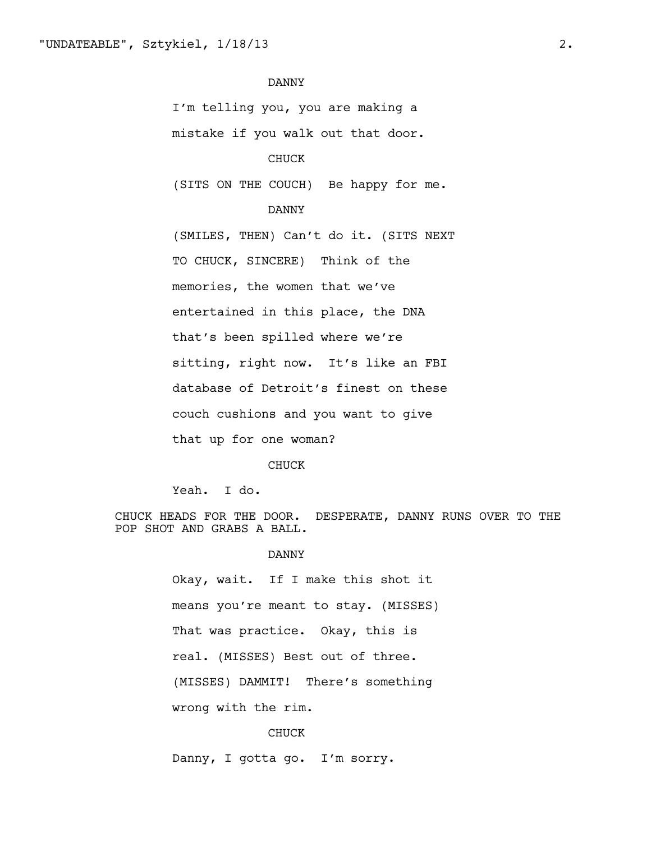I'm telling you, you are making a

mistake if you walk out that door.

# CHUCK

(SITS ON THE COUCH) Be happy for me.

### DANNY

(SMILES, THEN) Can't do it. (SITS NEXT TO CHUCK, SINCERE) Think of the memories, the women that we've entertained in this place, the DNA that's been spilled where we're sitting, right now. It's like an FBI database of Detroit's finest on these couch cushions and you want to give that up for one woman?

#### CHUCK

Yeah. I do.

CHUCK HEADS FOR THE DOOR. DESPERATE, DANNY RUNS OVER TO THE POP SHOT AND GRABS A BALL.

#### DANNY

Okay, wait. If I make this shot it means you're meant to stay. (MISSES) That was practice. Okay, this is real. (MISSES) Best out of three. (MISSES) DAMMIT! There's something wrong with the rim.

### CHUCK

Danny, I gotta go. I'm sorry.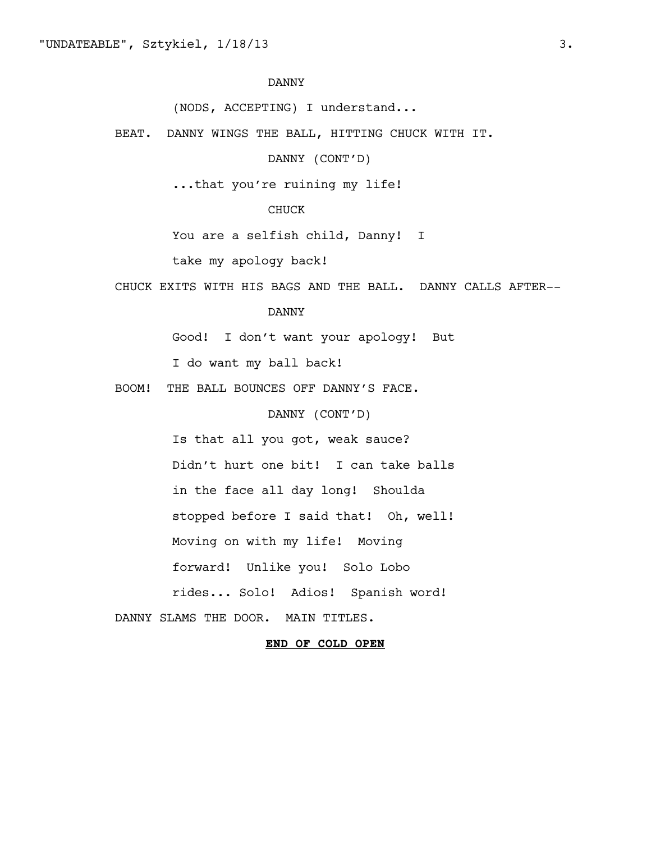(NODS, ACCEPTING) I understand...

BEAT. DANNY WINGS THE BALL, HITTING CHUCK WITH IT.

DANNY (CONT'D)

...that you're ruining my life!

# CHUCK

You are a selfish child, Danny! I

take my apology back!

CHUCK EXITS WITH HIS BAGS AND THE BALL. DANNY CALLS AFTER--

# DANNY

Good! I don't want your apology! But

I do want my ball back!

BOOM! THE BALL BOUNCES OFF DANNY'S FACE.

DANNY (CONT'D)

Is that all you got, weak sauce? Didn't hurt one bit! I can take balls in the face all day long! Shoulda stopped before I said that! Oh, well! Moving on with my life! Moving forward! Unlike you! Solo Lobo rides... Solo! Adios! Spanish word!

DANNY SLAMS THE DOOR. MAIN TITLES.

### **END OF COLD OPEN**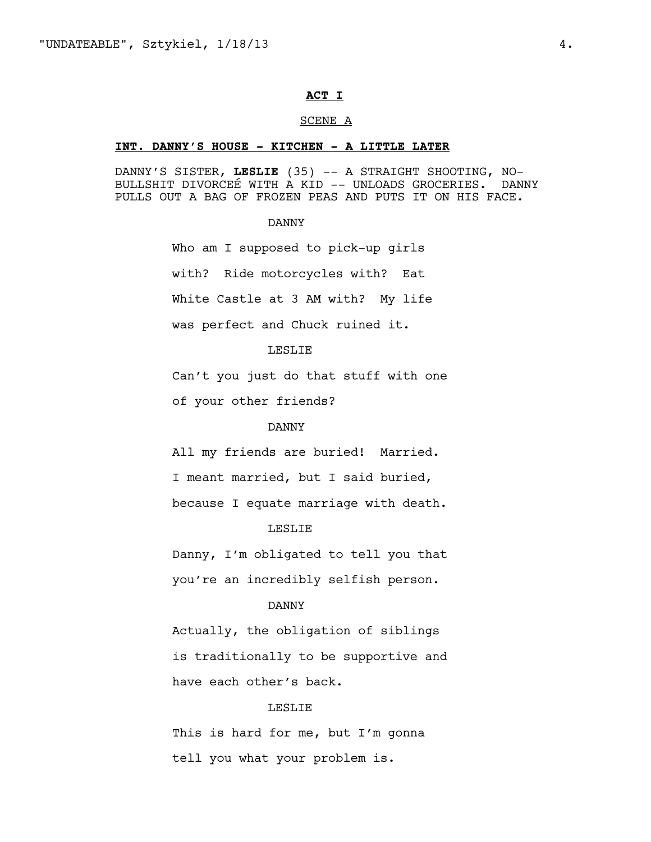### **ACT I**

#### SCENE A

#### **INT. DANNY'S HOUSE - KITCHEN - A LITTLE LATER**

DANNY'S SISTER, **LESLIE** (35) -- A STRAIGHT SHOOTING, NO-BULLSHIT DIVORCEÉ WITH A KID -- UNLOADS GROCERIES. DANNY PULLS OUT A BAG OF FROZEN PEAS AND PUTS IT ON HIS FACE.

#### DANNY

Who am I supposed to pick-up girls with? Ride motorcycles with? Eat White Castle at 3 AM with? My life was perfect and Chuck ruined it.

# LESLIE

Can't you just do that stuff with one

of your other friends?

### DANNY

All my friends are buried! Married. I meant married, but I said buried, because I equate marriage with death.

### LESLIE

Danny, I'm obligated to tell you that you're an incredibly selfish person.

# DANNY

Actually, the obligation of siblings is traditionally to be supportive and have each other's back.

#### LESLIE

This is hard for me, but I'm gonna tell you what your problem is.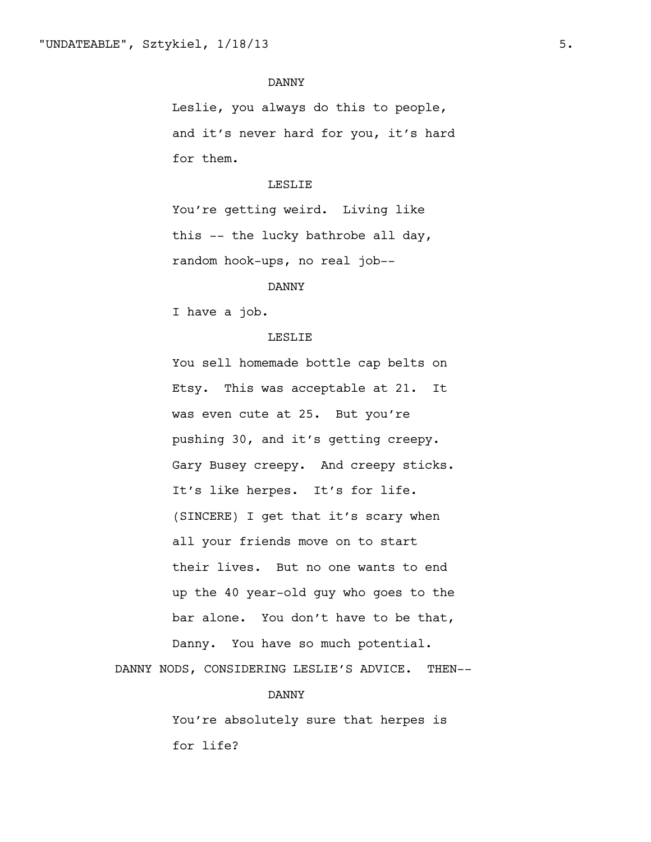Leslie, you always do this to people, and it's never hard for you, it's hard for them.

#### LESLIE

You're getting weird. Living like this -- the lucky bathrobe all day, random hook-ups, no real job--

# DANNY

I have a job.

#### LESLIE

You sell homemade bottle cap belts on Etsy. This was acceptable at 21. It was even cute at 25. But you're pushing 30, and it's getting creepy. Gary Busey creepy. And creepy sticks. It's like herpes. It's for life. (SINCERE) I get that it's scary when all your friends move on to start their lives. But no one wants to end up the 40 year-old guy who goes to the bar alone. You don't have to be that, Danny. You have so much potential.

DANNY NODS, CONSIDERING LESLIE'S ADVICE. THEN--

#### DANNY

You're absolutely sure that herpes is for life?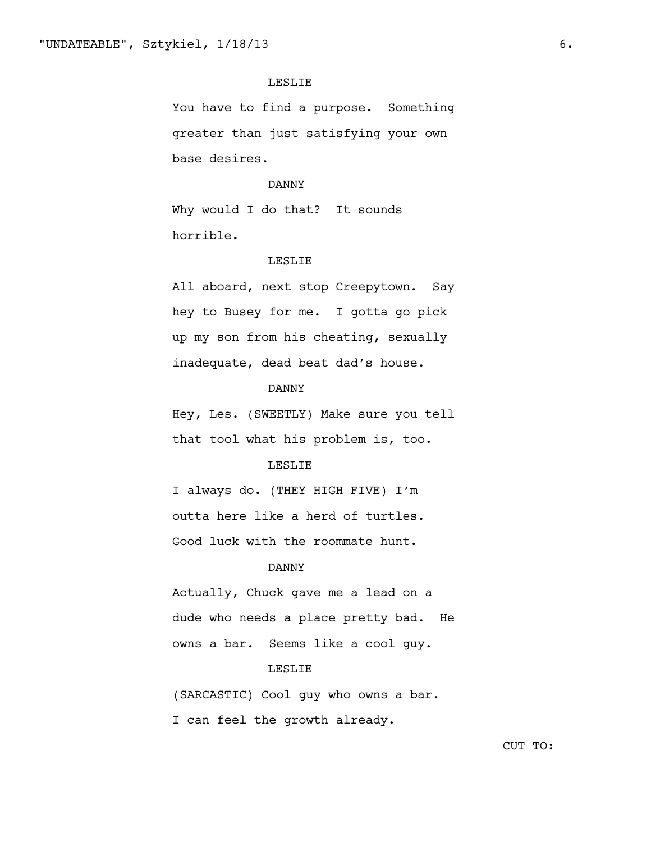# LESLIE

You have to find a purpose. Something greater than just satisfying your own base desires.

#### DANNY

Why would I do that? It sounds horrible.

#### LESLIE

All aboard, next stop Creepytown. Say hey to Busey for me. I gotta go pick up my son from his cheating, sexually inadequate, dead beat dad's house.

# DANNY

Hey, Les. (SWEETLY) Make sure you tell that tool what his problem is, too.

# LESLIE

I always do. (THEY HIGH FIVE) I'm outta here like a herd of turtles. Good luck with the roommate hunt.

# DANNY

Actually, Chuck gave me a lead on a dude who needs a place pretty bad. He owns a bar. Seems like a cool guy.

# LESLIE

(SARCASTIC) Cool guy who owns a bar. I can feel the growth already.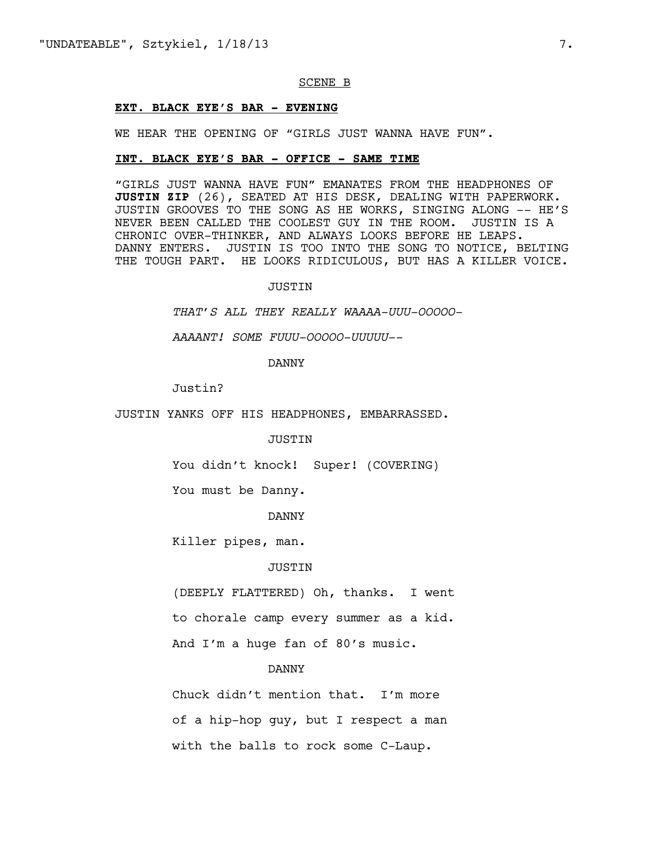#### SCENE B

#### **EXT. BLACK EYE'S BAR - EVENING**

WE HEAR THE OPENING OF "GIRLS JUST WANNA HAVE FUN".

# **INT. BLACK EYE'S BAR - OFFICE - SAME TIME**

"GIRLS JUST WANNA HAVE FUN" EMANATES FROM THE HEADPHONES OF **JUSTIN ZIP** (26), SEATED AT HIS DESK, DEALING WITH PAPERWORK. JUSTIN GROOVES TO THE SONG AS HE WORKS, SINGING ALONG -- HE'S NEVER BEEN CALLED THE COOLEST GUY IN THE ROOM. JUSTIN IS A CHRONIC OVER-THINKER, AND ALWAYS LOOKS BEFORE HE LEAPS. DANNY ENTERS. JUSTIN IS TOO INTO THE SONG TO NOTICE, BELTING THE TOUGH PART. HE LOOKS RIDICULOUS, BUT HAS A KILLER VOICE.

#### JUSTIN

*THAT'S ALL THEY REALLY WAAAA-UUU-OOOOO-*

*AAAANT! SOME FUUU-OOOOO-UUUUU--*

DANNY

Justin?

JUSTIN YANKS OFF HIS HEADPHONES, EMBARRASSED.

JUSTIN

You didn't knock! Super! (COVERING)

You must be Danny.

DANNY

Killer pipes, man.

#### JUSTIN

(DEEPLY FLATTERED) Oh, thanks. I went to chorale camp every summer as a kid. And I'm a huge fan of 80's music.

#### DANNY

Chuck didn't mention that. I'm more of a hip-hop guy, but I respect a man with the balls to rock some C-Laup.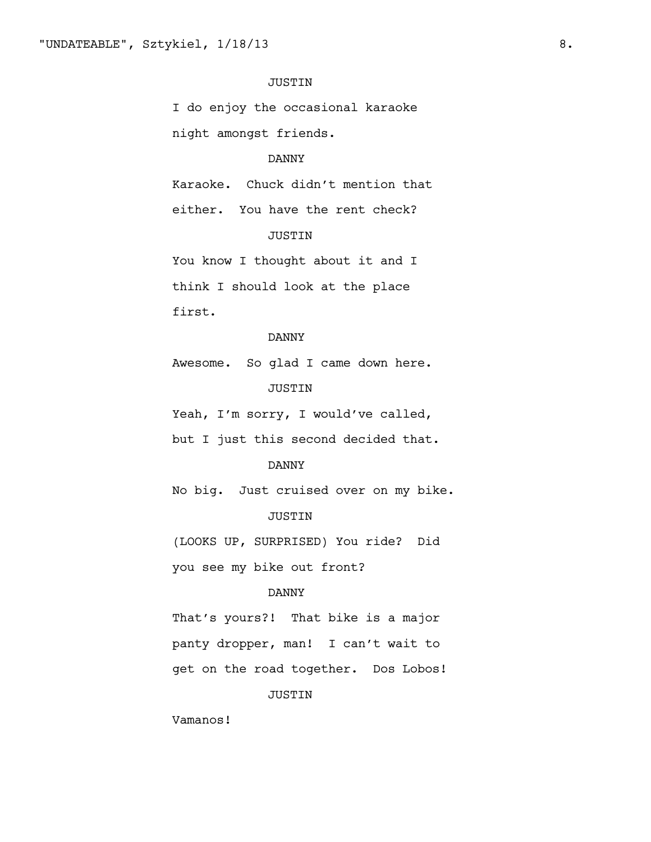# JUSTIN

I do enjoy the occasional karaoke night amongst friends.

# DANNY

Karaoke. Chuck didn't mention that

either. You have the rent check? JUSTIN

You know I thought about it and I think I should look at the place first.

#### DANNY

Awesome. So glad I came down here. JUSTIN

Yeah, I'm sorry, I would've called,

but I just this second decided that.

# DANNY

No big. Just cruised over on my bike.

# JUSTIN

(LOOKS UP, SURPRISED) You ride? Did

you see my bike out front?

# DANNY

That's yours?! That bike is a major panty dropper, man! I can't wait to get on the road together. Dos Lobos!

# JUSTIN

Vamanos!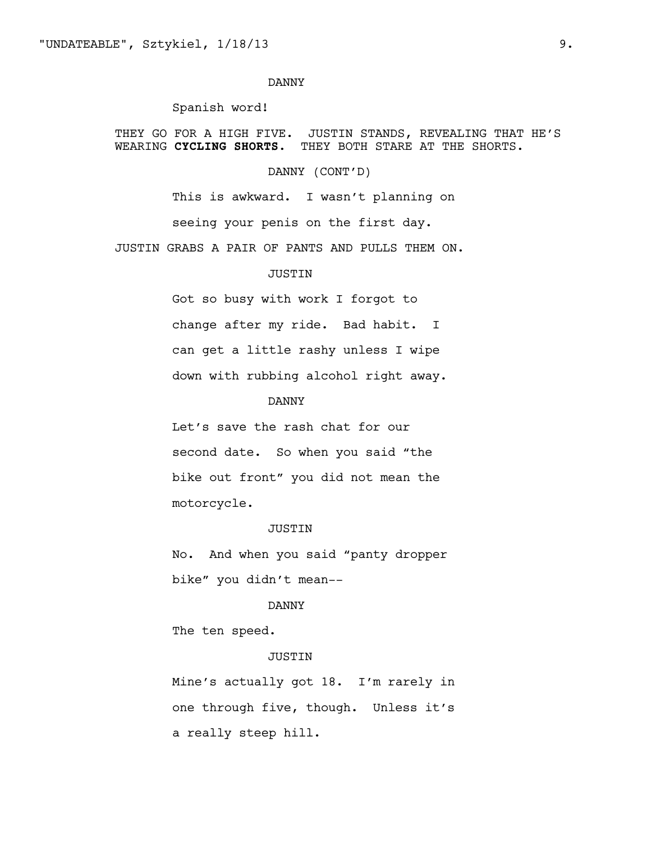### Spanish word!

THEY GO FOR A HIGH FIVE. JUSTIN STANDS, REVEALING THAT HE'S WEARING **CYCLING SHORTS.** THEY BOTH STARE AT THE SHORTS.

DANNY (CONT'D)

This is awkward. I wasn't planning on seeing your penis on the first day.

JUSTIN GRABS A PAIR OF PANTS AND PULLS THEM ON.

#### JUSTIN

Got so busy with work I forgot to change after my ride. Bad habit. I can get a little rashy unless I wipe down with rubbing alcohol right away.

#### DANNY

Let's save the rash chat for our second date. So when you said "the bike out front" you did not mean the motorcycle.

#### JUSTIN

No. And when you said "panty dropper bike" you didn't mean--

# DANNY

The ten speed.

# JUSTIN

Mine's actually got 18. I'm rarely in one through five, though. Unless it's a really steep hill.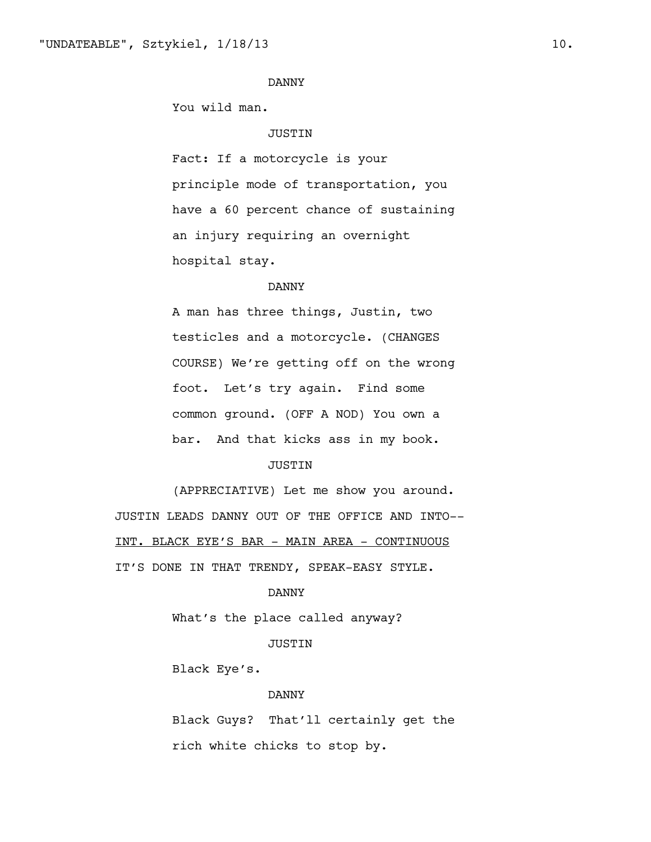You wild man.

### JUSTIN

Fact: If a motorcycle is your principle mode of transportation, you have a 60 percent chance of sustaining an injury requiring an overnight hospital stay.

# DANNY

A man has three things, Justin, two testicles and a motorcycle. (CHANGES COURSE) We're getting off on the wrong foot. Let's try again. Find some common ground. (OFF A NOD) You own a bar. And that kicks ass in my book.

# JUSTIN

(APPRECIATIVE) Let me show you around. JUSTIN LEADS DANNY OUT OF THE OFFICE AND INTO-- INT. BLACK EYE'S BAR - MAIN AREA - CONTINUOUS IT'S DONE IN THAT TRENDY, SPEAK-EASY STYLE.

#### DANNY

What's the place called anyway?

#### JUSTIN

Black Eye's.

#### DANNY

Black Guys? That'll certainly get the rich white chicks to stop by.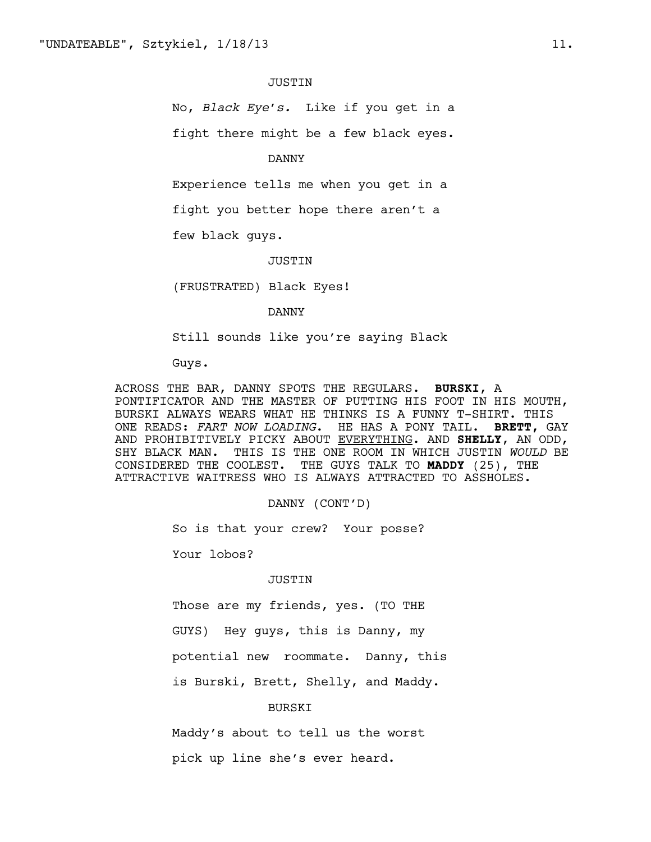#### **JUSTIN**

No, *Black Eye's.* Like if you get in a

fight there might be a few black eyes.

DANNY

Experience tells me when you get in a

fight you better hope there aren't a

few black guys.

JUSTIN

(FRUSTRATED) Black Eyes!

DANNY

Still sounds like you're saying Black

Guys.

ACROSS THE BAR, DANNY SPOTS THE REGULARS. **BURSKI**, A PONTIFICATOR AND THE MASTER OF PUTTING HIS FOOT IN HIS MOUTH, BURSKI ALWAYS WEARS WHAT HE THINKS IS A FUNNY T-SHIRT. THIS ONE READS: *FART NOW LOADING*. HE HAS A PONY TAIL. **BRETT,** GAY AND PROHIBITIVELY PICKY ABOUT EVERYTHING. AND **SHELLY**, AN ODD, SHY BLACK MAN. THIS IS THE ONE ROOM IN WHICH JUSTIN *WOULD* BE CONSIDERED THE COOLEST. THE GUYS TALK TO **MADDY** (25), THE ATTRACTIVE WAITRESS WHO IS ALWAYS ATTRACTED TO ASSHOLES.

DANNY (CONT'D)

So is that your crew? Your posse?

Your lobos?

#### JUSTIN

Those are my friends, yes. (TO THE

GUYS) Hey guys, this is Danny, my

potential new roommate. Danny, this

is Burski, Brett, Shelly, and Maddy.

### BURSKI

Maddy's about to tell us the worst

pick up line she's ever heard.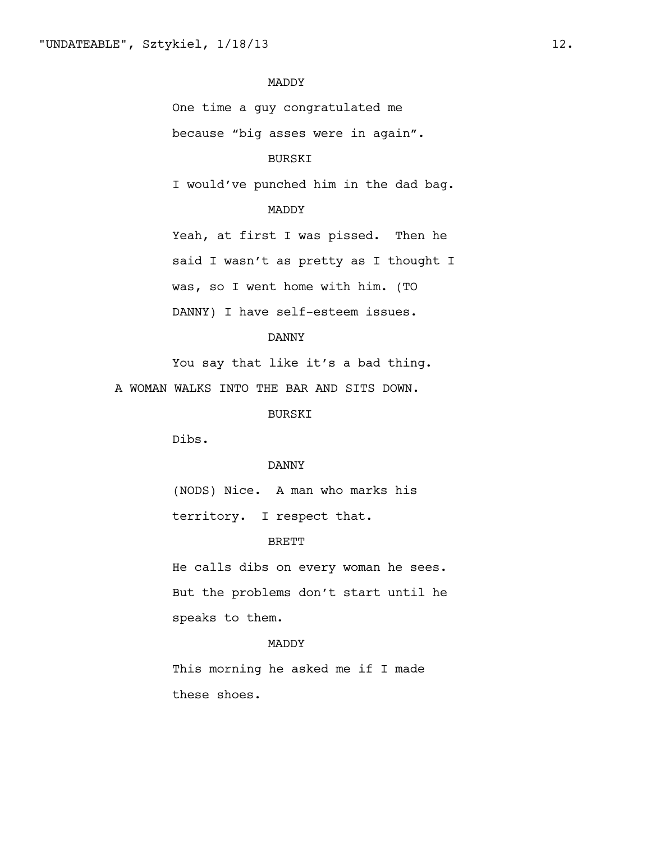# MADDY

One time a guy congratulated me

because "big asses were in again".

### BURSKI

I would've punched him in the dad bag.

# MADDY

Yeah, at first I was pissed. Then he said I wasn't as pretty as I thought I was, so I went home with him. (TO DANNY) I have self-esteem issues.

#### DANNY

You say that like it's a bad thing.

A WOMAN WALKS INTO THE BAR AND SITS DOWN.

#### BURSKI

Dibs.

# DANNY

(NODS) Nice. A man who marks his territory. I respect that.

#### BRETT

He calls dibs on every woman he sees. But the problems don't start until he speaks to them.

#### MADDY

This morning he asked me if I made these shoes.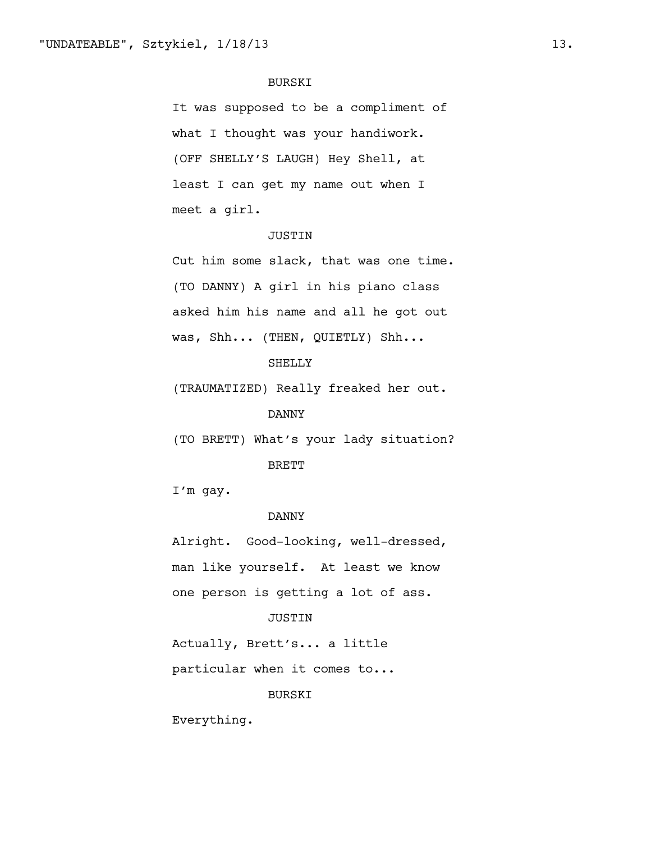### BURSKI

It was supposed to be a compliment of what I thought was your handiwork. (OFF SHELLY'S LAUGH) Hey Shell, at least I can get my name out when I meet a girl.

# JUSTIN

Cut him some slack, that was one time. (TO DANNY) A girl in his piano class asked him his name and all he got out was, Shh... (THEN, QUIETLY) Shh...

# SHELLY

(TRAUMATIZED) Really freaked her out.

### DANNY

(TO BRETT) What's your lady situation? BRETT

I'm gay.

### DANNY

Alright. Good-looking, well-dressed, man like yourself. At least we know one person is getting a lot of ass.

#### JUSTIN

Actually, Brett's... a little

particular when it comes to...

#### BURSKI

Everything.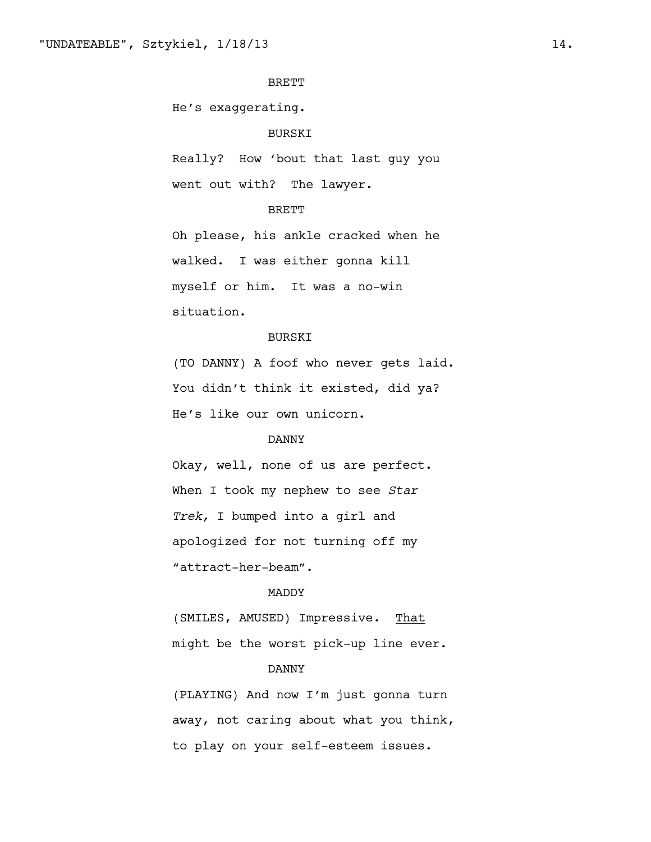# BRETT

He's exaggerating.

# BURSKI

Really? How 'bout that last guy you went out with? The lawyer.

### BRETT

Oh please, his ankle cracked when he walked. I was either gonna kill myself or him. It was a no-win situation.

#### BURSKI

(TO DANNY) A foof who never gets laid. You didn't think it existed, did ya? He's like our own unicorn.

# DANNY

Okay, well, none of us are perfect. When I took my nephew to see *Star Trek,* I bumped into a girl and apologized for not turning off my "attract-her-beam".

#### MADDY

(SMILES, AMUSED) Impressive. That might be the worst pick-up line ever.

# DANNY

(PLAYING) And now I'm just gonna turn away, not caring about what you think, to play on your self-esteem issues.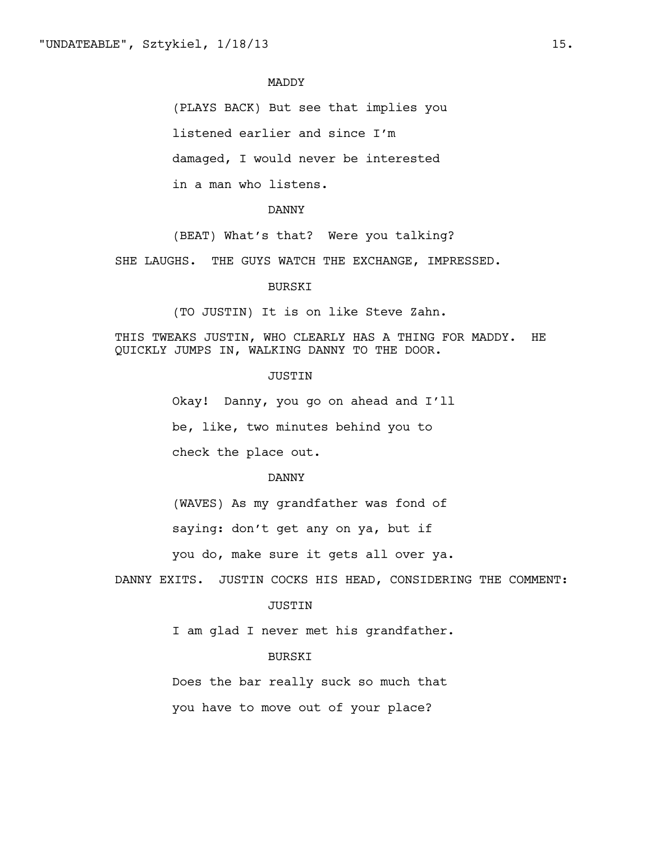### MADDY

(PLAYS BACK) But see that implies you

listened earlier and since I'm

damaged, I would never be interested

in a man who listens.

# DANNY

(BEAT) What's that? Were you talking?

SHE LAUGHS. THE GUYS WATCH THE EXCHANGE, IMPRESSED.

### BURSKI

(TO JUSTIN) It is on like Steve Zahn.

THIS TWEAKS JUSTIN, WHO CLEARLY HAS A THING FOR MADDY. HE QUICKLY JUMPS IN, WALKING DANNY TO THE DOOR.

#### JUSTIN

Okay! Danny, you go on ahead and I'll be, like, two minutes behind you to check the place out.

#### DANNY

(WAVES) As my grandfather was fond of

saying: don't get any on ya, but if

you do, make sure it gets all over ya.

DANNY EXITS. JUSTIN COCKS HIS HEAD, CONSIDERING THE COMMENT:

#### JUSTIN

I am glad I never met his grandfather.

# BURSKI

Does the bar really suck so much that

you have to move out of your place?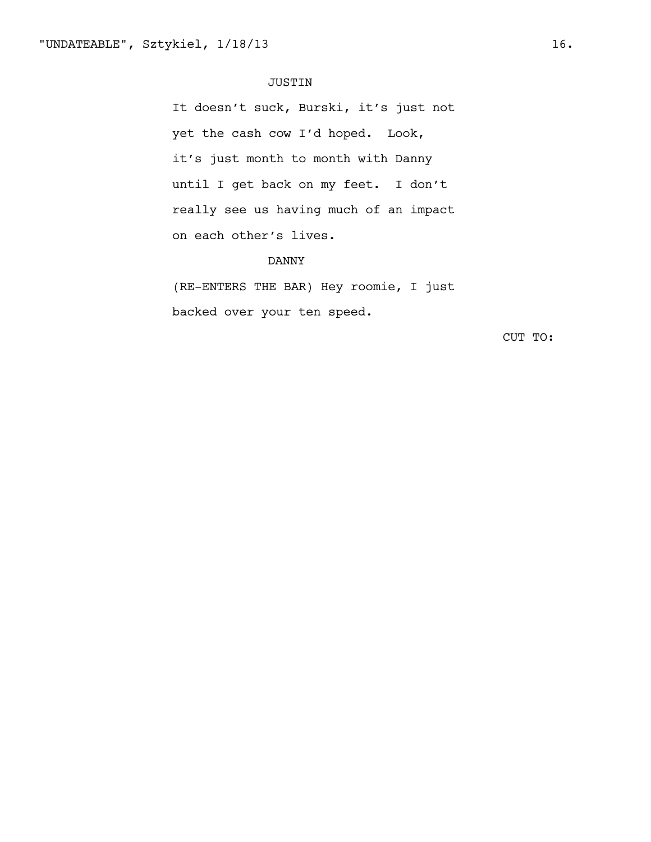### JUSTIN

It doesn't suck, Burski, it's just not yet the cash cow I'd hoped. Look, it's just month to month with Danny until I get back on my feet. I don't really see us having much of an impact on each other's lives.

# DANNY

(RE-ENTERS THE BAR) Hey roomie, I just backed over your ten speed.

CUT TO: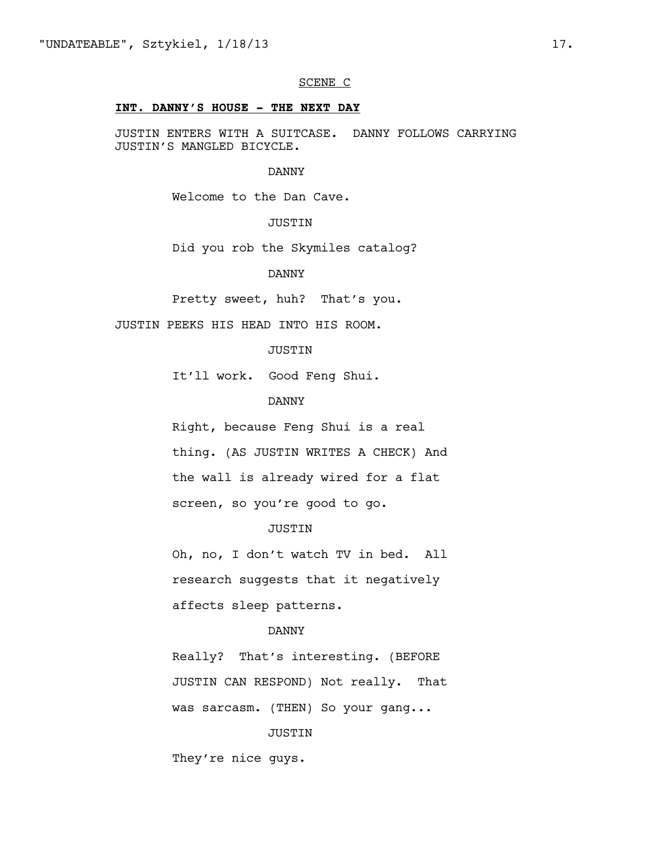### SCENE C

### **INT. DANNY'S HOUSE - THE NEXT DAY**

JUSTIN ENTERS WITH A SUITCASE. DANNY FOLLOWS CARRYING JUSTIN'S MANGLED BICYCLE.

#### DANNY

Welcome to the Dan Cave.

# JUSTIN

Did you rob the Skymiles catalog?

#### DANNY

Pretty sweet, huh? That's you.

JUSTIN PEEKS HIS HEAD INTO HIS ROOM.

### JUSTIN

It'll work. Good Feng Shui.

#### DANNY

Right, because Feng Shui is a real thing. (AS JUSTIN WRITES A CHECK) And the wall is already wired for a flat screen, so you're good to go.

### JUSTIN

Oh, no, I don't watch TV in bed. All research suggests that it negatively affects sleep patterns.

### DANNY

Really? That's interesting. (BEFORE JUSTIN CAN RESPOND) Not really. That was sarcasm. (THEN) So your gang...

#### JUSTIN

They're nice guys.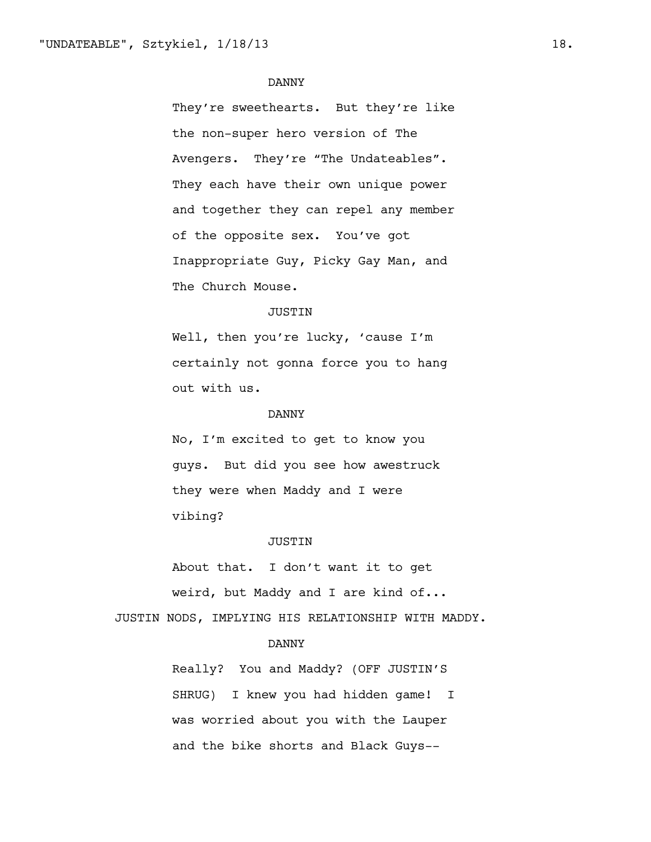They're sweethearts. But they're like the non-super hero version of The Avengers. They're "The Undateables". They each have their own unique power and together they can repel any member of the opposite sex. You've got Inappropriate Guy, Picky Gay Man, and The Church Mouse.

#### JUSTIN

Well, then you're lucky, 'cause I'm certainly not gonna force you to hang out with us.

#### DANNY

No, I'm excited to get to know you guys. But did you see how awestruck they were when Maddy and I were vibing?

#### JUSTIN

About that. I don't want it to get weird, but Maddy and I are kind of...

JUSTIN NODS, IMPLYING HIS RELATIONSHIP WITH MADDY.

# DANNY

Really? You and Maddy? (OFF JUSTIN'S SHRUG) I knew you had hidden game! I was worried about you with the Lauper and the bike shorts and Black Guys--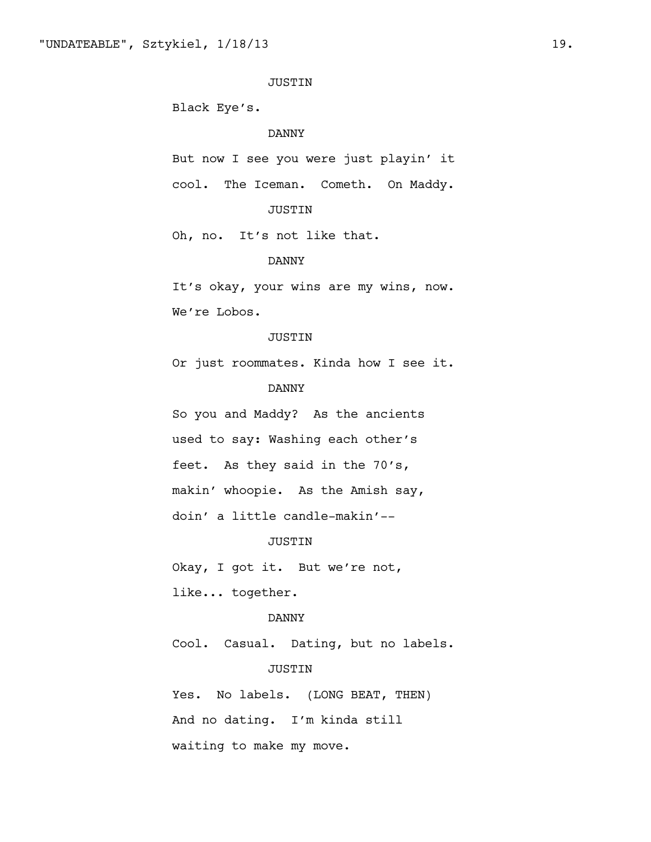### JUSTIN

Black Eye's.

### DANNY

But now I see you were just playin' it cool. The Iceman. Cometh. On Maddy.

# JUSTIN

Oh, no. It's not like that.

### DANNY

It's okay, your wins are my wins, now. We're Lobos.

#### JUSTIN

Or just roommates. Kinda how I see it.

# DANNY

So you and Maddy? As the ancients used to say: Washing each other's feet. As they said in the 70's, makin' whoopie. As the Amish say, doin' a little candle-makin'--

#### JUSTIN

Okay, I got it. But we're not, like... together.

#### DANNY

Cool. Casual. Dating, but no labels.

# JUSTIN

Yes. No labels. (LONG BEAT, THEN) And no dating. I'm kinda still waiting to make my move.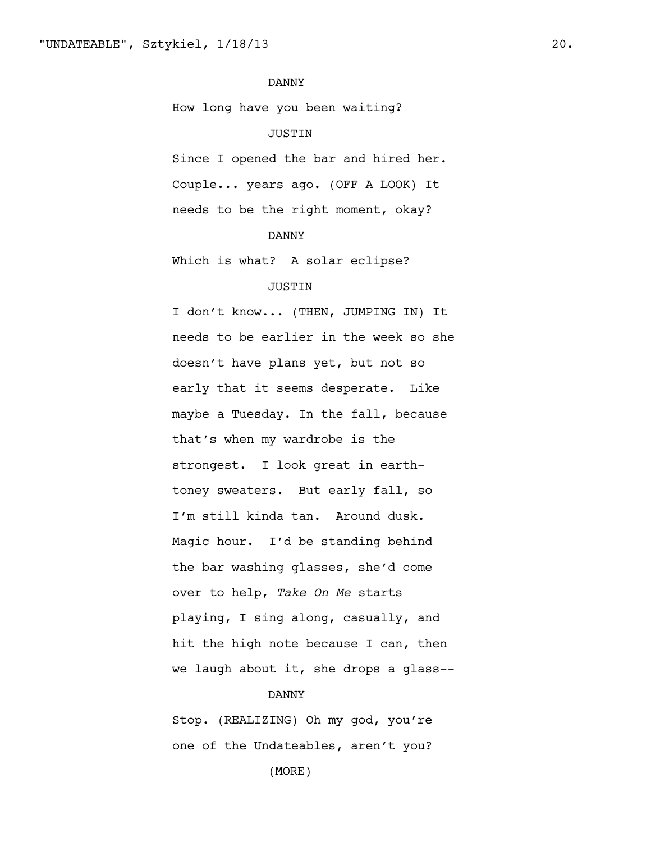How long have you been waiting?

# JUSTIN

Since I opened the bar and hired her. Couple... years ago. (OFF A LOOK) It needs to be the right moment, okay?

# DANNY

Which is what? A solar eclipse?

# JUSTIN

I don't know... (THEN, JUMPING IN) It needs to be earlier in the week so she doesn't have plans yet, but not so early that it seems desperate. Like maybe a Tuesday. In the fall, because that's when my wardrobe is the strongest. I look great in earthtoney sweaters. But early fall, so I'm still kinda tan. Around dusk. Magic hour. I'd be standing behind the bar washing glasses, she'd come over to help, *Take On Me* starts playing, I sing along, casually, and hit the high note because I can, then we laugh about it, she drops a glass--

#### DANNY

Stop. (REALIZING) Oh my god, you're one of the Undateables, aren't you?

(MORE)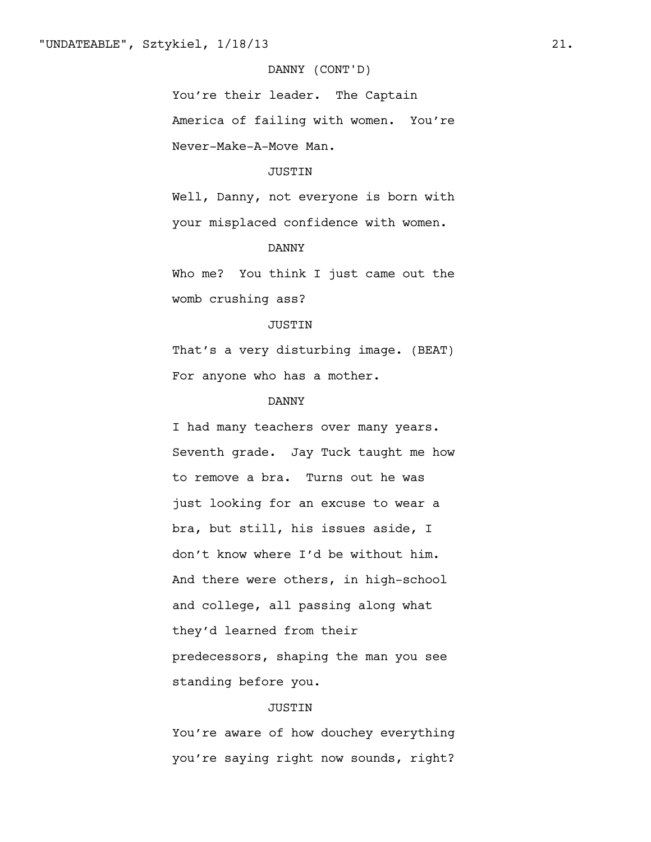# DANNY (CONT'D)

You're their leader. The Captain America of failing with women. You're Never-Make-A-Move Man.

### JUSTIN

Well, Danny, not everyone is born with your misplaced confidence with women.

# DANNY

Who me? You think I just came out the womb crushing ass?

# JUSTIN

That's a very disturbing image. (BEAT) For anyone who has a mother.

### DANNY

I had many teachers over many years. Seventh grade. Jay Tuck taught me how to remove a bra. Turns out he was just looking for an excuse to wear a bra, but still, his issues aside, I don't know where I'd be without him. And there were others, in high-school and college, all passing along what they'd learned from their predecessors, shaping the man you see standing before you.

### JUSTIN

You're aware of how douchey everything you're saying right now sounds, right?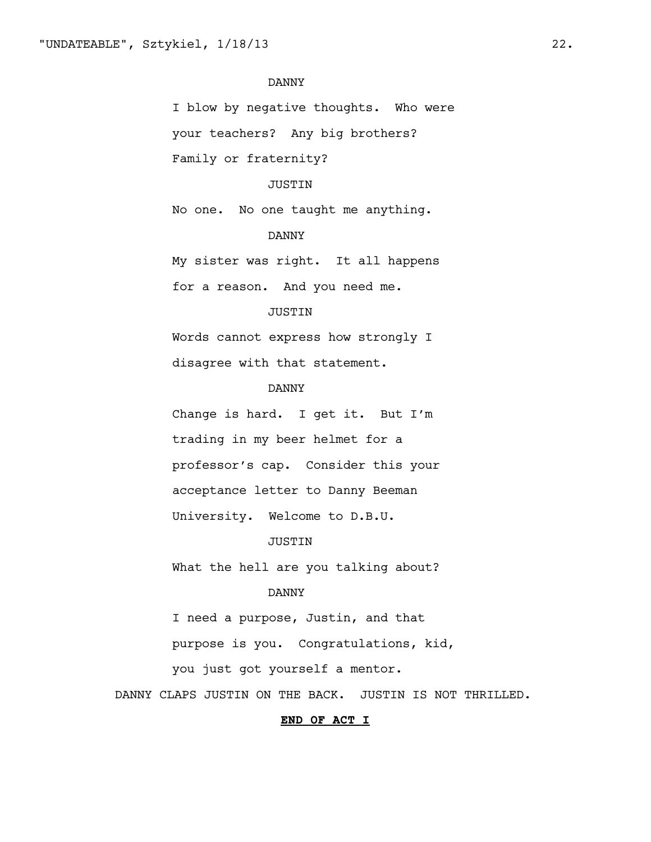I blow by negative thoughts. Who were your teachers? Any big brothers? Family or fraternity?

### JUSTIN

No one. No one taught me anything.

# DANNY

My sister was right. It all happens for a reason. And you need me.

# JUSTIN

Words cannot express how strongly I disagree with that statement.

# DANNY

Change is hard. I get it. But I'm trading in my beer helmet for a professor's cap. Consider this your acceptance letter to Danny Beeman University. Welcome to D.B.U.

### JUSTIN

What the hell are you talking about?

#### DANNY

I need a purpose, Justin, and that purpose is you. Congratulations, kid,

you just got yourself a mentor.

DANNY CLAPS JUSTIN ON THE BACK. JUSTIN IS NOT THRILLED.

#### **END OF ACT I**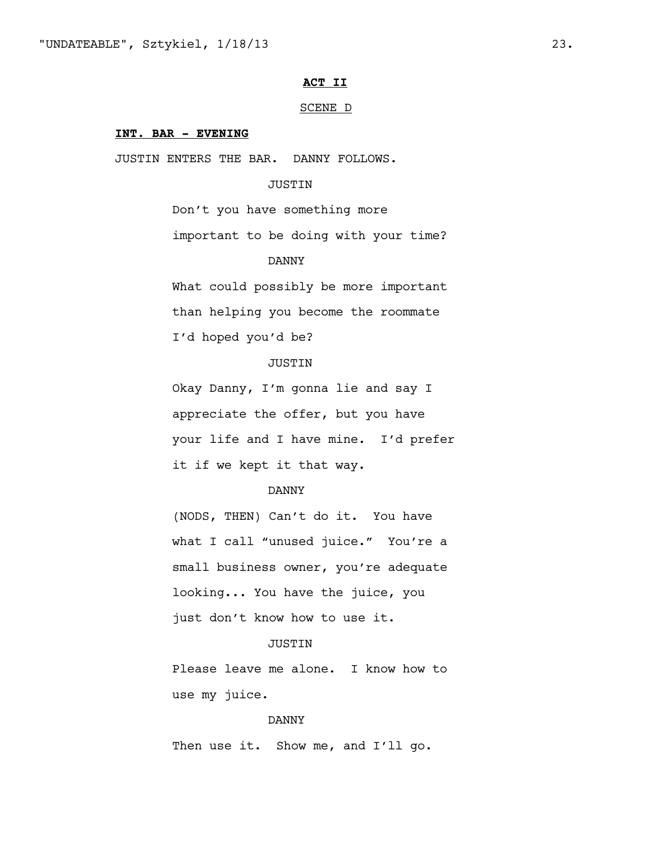### **ACT II**

#### SCENE D

#### **INT. BAR - EVENING**

JUSTIN ENTERS THE BAR. DANNY FOLLOWS.

# JUSTIN

Don't you have something more important to be doing with your time?

### DANNY

What could possibly be more important than helping you become the roommate I'd hoped you'd be?

# **JUSTIN**

Okay Danny, I'm gonna lie and say I appreciate the offer, but you have your life and I have mine. I'd prefer it if we kept it that way.

# DANNY

(NODS, THEN) Can't do it. You have what I call "unused juice." You're a small business owner, you're adequate looking... You have the juice, you just don't know how to use it.

#### **JUSTIN**

Please leave me alone. I know how to use my juice.

### DANNY

Then use it. Show me, and I'll go.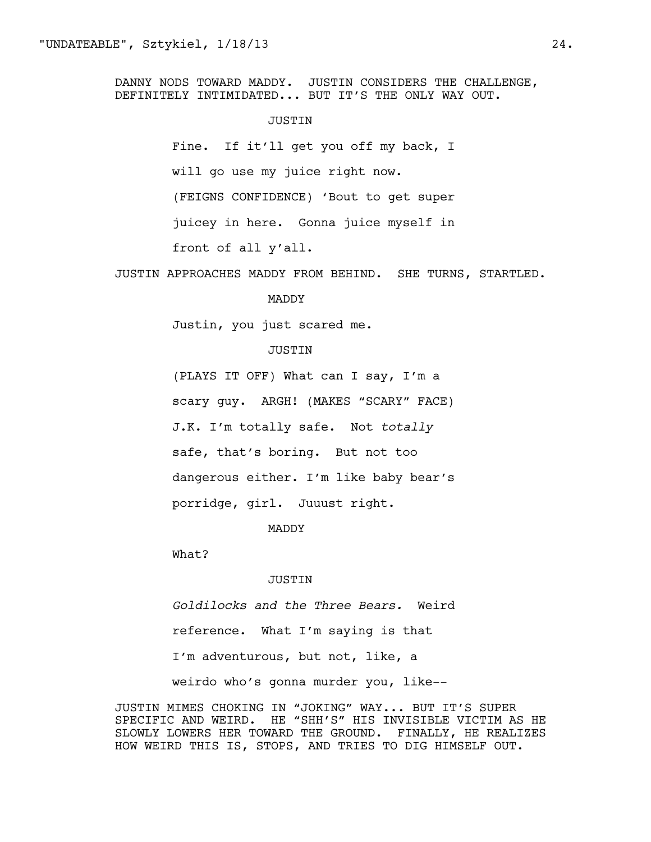DANNY NODS TOWARD MADDY. JUSTIN CONSIDERS THE CHALLENGE, DEFINITELY INTIMIDATED... BUT IT'S THE ONLY WAY OUT.

#### JUSTIN

Fine. If it'll get you off my back, I will go use my juice right now. (FEIGNS CONFIDENCE) 'Bout to get super juicey in here. Gonna juice myself in front of all y'all.

JUSTIN APPROACHES MADDY FROM BEHIND. SHE TURNS, STARTLED.

# MADDY

Justin, you just scared me.

#### JUSTIN

(PLAYS IT OFF) What can I say, I'm a scary guy. ARGH! (MAKES "SCARY" FACE) J.K. I'm totally safe. Not *totally* safe, that's boring. But not too dangerous either. I'm like baby bear's porridge, girl. Juuust right.

#### MADDY

What?

#### JUSTIN

*Goldilocks and the Three Bears.* Weird reference. What I'm saying is that I'm adventurous, but not, like, a weirdo who's gonna murder you, like--

JUSTIN MIMES CHOKING IN "JOKING" WAY... BUT IT'S SUPER SPECIFIC AND WEIRD. HE "SHH'S" HIS INVISIBLE VICTIM AS HE SLOWLY LOWERS HER TOWARD THE GROUND. FINALLY, HE REALIZES HOW WEIRD THIS IS, STOPS, AND TRIES TO DIG HIMSELF OUT.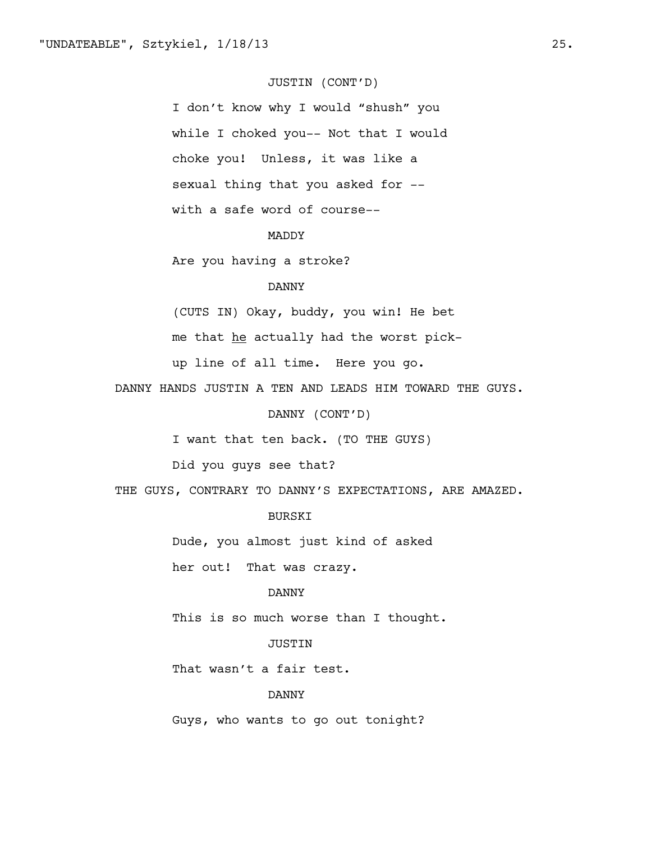# JUSTIN (CONT'D)

I don't know why I would "shush" you while I choked you-- Not that I would choke you! Unless, it was like a sexual thing that you asked for - with a safe word of course--

### MADDY

Are you having a stroke?

# DANNY

(CUTS IN) Okay, buddy, you win! He bet

me that he actually had the worst pick-

up line of all time. Here you go.

DANNY HANDS JUSTIN A TEN AND LEADS HIM TOWARD THE GUYS.

DANNY (CONT'D)

I want that ten back. (TO THE GUYS)

Did you guys see that?

THE GUYS, CONTRARY TO DANNY'S EXPECTATIONS, ARE AMAZED.

### BURSKI

Dude, you almost just kind of asked

her out! That was crazy.

### DANNY

This is so much worse than I thought.

### **JUSTIN**

That wasn't a fair test.

#### DANNY

Guys, who wants to go out tonight?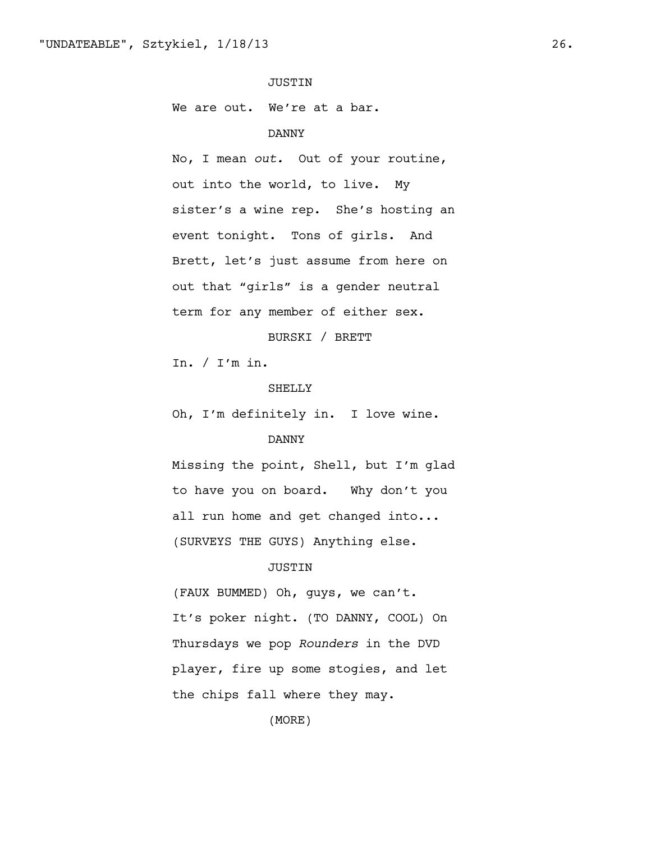# JUSTIN

We are out. We're at a bar.

# DANNY

No, I mean *out.* Out of your routine, out into the world, to live. My sister's a wine rep. She's hosting an event tonight. Tons of girls. And Brett, let's just assume from here on out that "girls" is a gender neutral term for any member of either sex.

# BURSKI / BRETT

In. / I'm in.

### SHELLY

Oh, I'm definitely in. I love wine.

### DANNY

Missing the point, Shell, but I'm glad to have you on board. Why don't you all run home and get changed into... (SURVEYS THE GUYS) Anything else.

# JUSTIN

(FAUX BUMMED) Oh, guys, we can't. It's poker night. (TO DANNY, COOL) On Thursdays we pop *Rounders* in the DVD player, fire up some stogies, and let the chips fall where they may.

(MORE)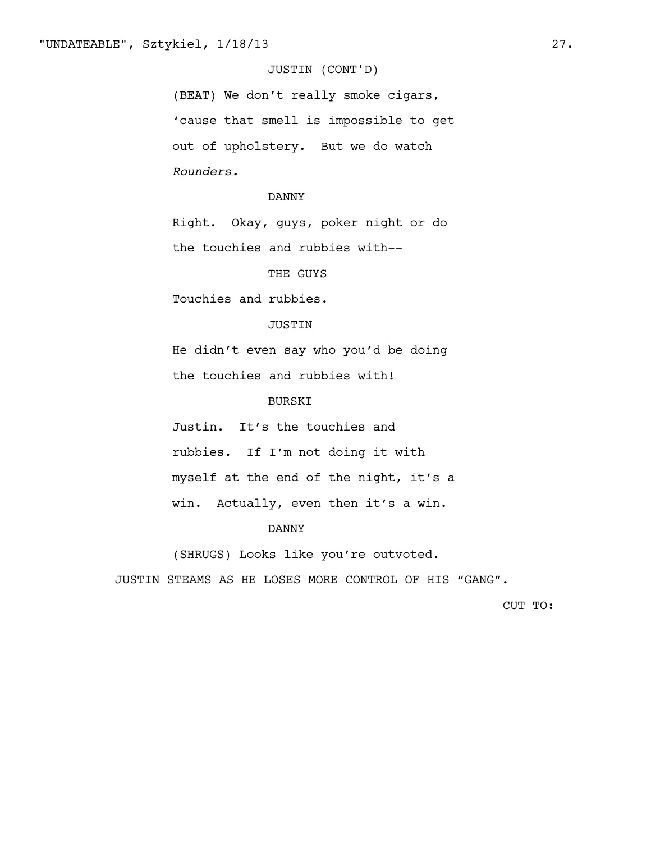# JUSTIN (CONT'D)

(BEAT) We don't really smoke cigars, 'cause that smell is impossible to get out of upholstery. But we do watch *Rounders.*

#### DANNY

Right. Okay, guys, poker night or do the touchies and rubbies with--

#### THE GUYS

Touchies and rubbies.

# JUSTIN

He didn't even say who you'd be doing the touchies and rubbies with!

# BURSKI

Justin. It's the touchies and rubbies. If I'm not doing it with myself at the end of the night, it's a win. Actually, even then it's a win.

### DANNY

(SHRUGS) Looks like you're outvoted.

JUSTIN STEAMS AS HE LOSES MORE CONTROL OF HIS "GANG".

CUT TO: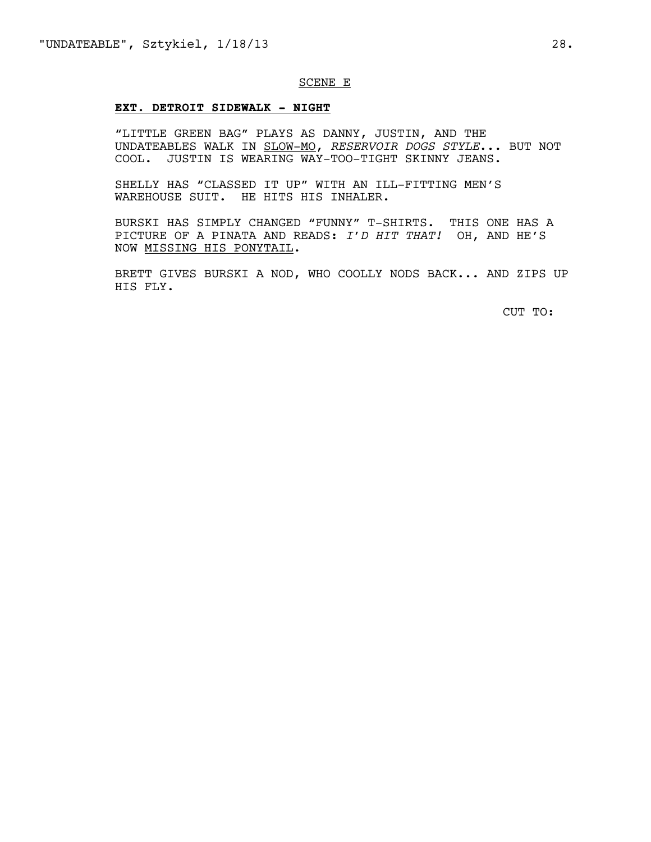#### SCENE E

### **EXT. DETROIT SIDEWALK - NIGHT**

"LITTLE GREEN BAG" PLAYS AS DANNY, JUSTIN, AND THE UNDATEABLES WALK IN SLOW-MO, *RESERVOIR DOGS STYLE*... BUT NOT COOL. JUSTIN IS WEARING WAY-TOO-TIGHT SKINNY JEANS.

SHELLY HAS "CLASSED IT UP" WITH AN ILL-FITTING MEN'S WAREHOUSE SUIT. HE HITS HIS INHALER.

BURSKI HAS SIMPLY CHANGED "FUNNY" T-SHIRTS. THIS ONE HAS A PICTURE OF A PINATA AND READS: *I'D HIT THAT!* OH, AND HE'S NOW MISSING HIS PONYTAIL.

BRETT GIVES BURSKI A NOD, WHO COOLLY NODS BACK... AND ZIPS UP HIS FLY.

CUT TO: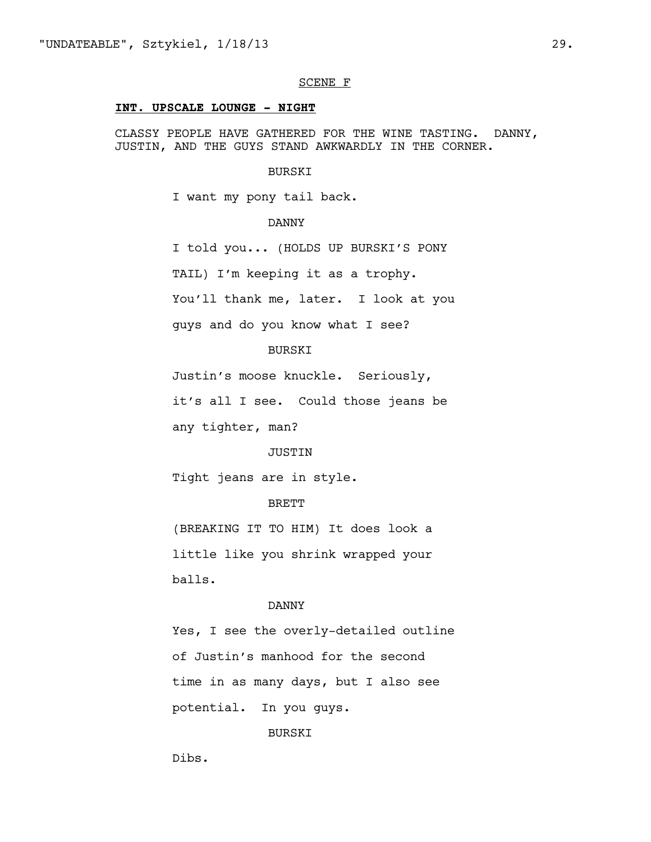#### SCENE F

### **INT. UPSCALE LOUNGE - NIGHT**

CLASSY PEOPLE HAVE GATHERED FOR THE WINE TASTING. DANNY, JUSTIN, AND THE GUYS STAND AWKWARDLY IN THE CORNER.

#### BURSKI

I want my pony tail back.

DANNY

I told you... (HOLDS UP BURSKI'S PONY TAIL) I'm keeping it as a trophy. You'll thank me, later. I look at you guys and do you know what I see?

### BURSKI

Justin's moose knuckle. Seriously,

it's all I see. Could those jeans be

any tighter, man?

#### JUSTIN

Tight jeans are in style.

### BRETT

(BREAKING IT TO HIM) It does look a little like you shrink wrapped your balls.

#### DANNY

Yes, I see the overly-detailed outline of Justin's manhood for the second time in as many days, but I also see potential. In you guys.

### BURSKI

Dibs.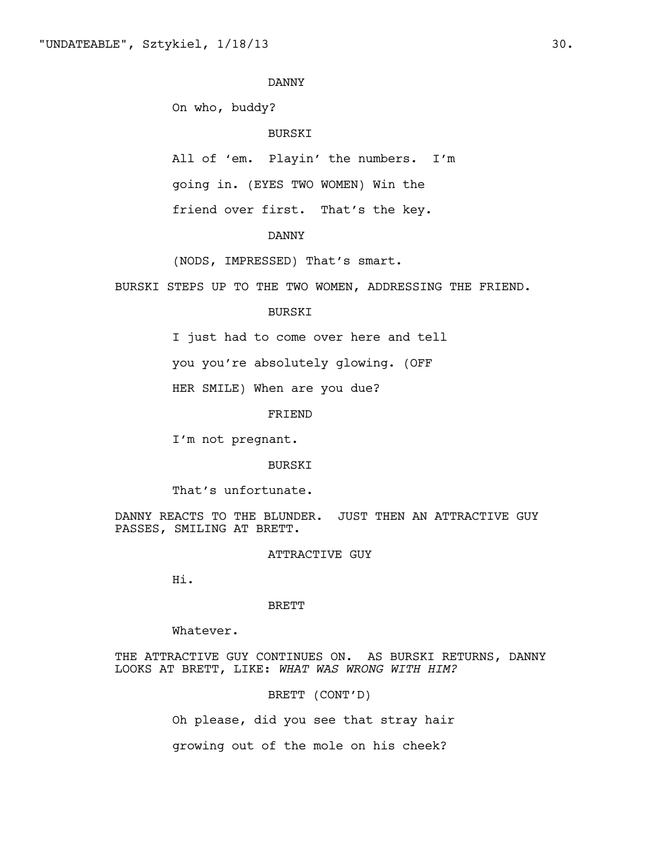On who, buddy?

#### BURSKI

All of 'em. Playin' the numbers. I'm

going in. (EYES TWO WOMEN) Win the

friend over first. That's the key.

### DANNY

(NODS, IMPRESSED) That's smart.

BURSKI STEPS UP TO THE TWO WOMEN, ADDRESSING THE FRIEND.

#### BURSKI

I just had to come over here and tell

you you're absolutely glowing. (OFF

HER SMILE) When are you due?

FRIEND

I'm not pregnant.

# BURSKI

That's unfortunate.

DANNY REACTS TO THE BLUNDER. JUST THEN AN ATTRACTIVE GUY PASSES, SMILING AT BRETT.

ATTRACTIVE GUY

Hi.

#### BRETT

Whatever.

THE ATTRACTIVE GUY CONTINUES ON. AS BURSKI RETURNS, DANNY LOOKS AT BRETT, LIKE: *WHAT WAS WRONG WITH HIM?*

BRETT (CONT'D)

Oh please, did you see that stray hair growing out of the mole on his cheek?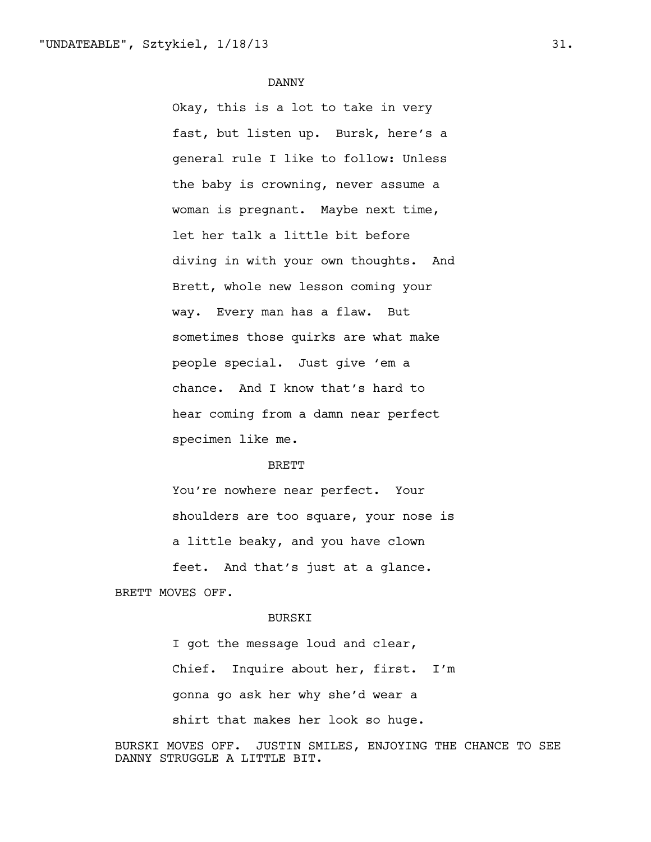Okay, this is a lot to take in very fast, but listen up. Bursk, here's a general rule I like to follow: Unless the baby is crowning, never assume a woman is pregnant. Maybe next time, let her talk a little bit before diving in with your own thoughts. And Brett, whole new lesson coming your way. Every man has a flaw. But sometimes those quirks are what make people special. Just give 'em a chance. And I know that's hard to hear coming from a damn near perfect specimen like me.

#### BRETT

You're nowhere near perfect. Your shoulders are too square, your nose is a little beaky, and you have clown feet. And that's just at a glance.

BRETT MOVES OFF.

#### BURSKI

I got the message loud and clear, Chief. Inquire about her, first. I'm gonna go ask her why she'd wear a shirt that makes her look so huge.

BURSKI MOVES OFF. JUSTIN SMILES, ENJOYING THE CHANCE TO SEE DANNY STRUGGLE A LITTLE BIT.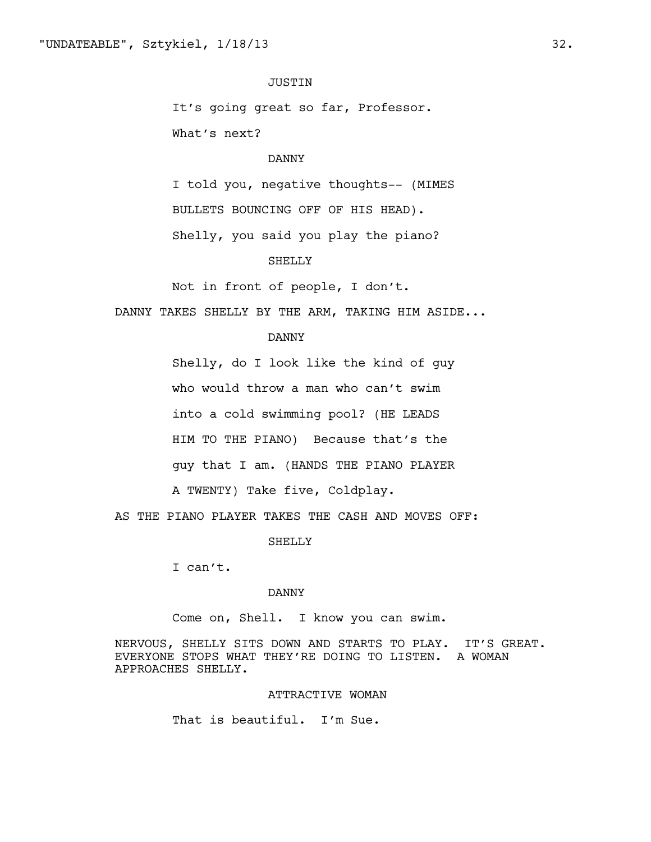# JUSTIN

It's going great so far, Professor. What's next?

# DANNY

I told you, negative thoughts-- (MIMES BULLETS BOUNCING OFF OF HIS HEAD). Shelly, you said you play the piano?

#### SHELLY

Not in front of people, I don't.

DANNY TAKES SHELLY BY THE ARM, TAKING HIM ASIDE...

#### DANNY

Shelly, do I look like the kind of guy who would throw a man who can't swim into a cold swimming pool? (HE LEADS HIM TO THE PIANO) Because that's the guy that I am. (HANDS THE PIANO PLAYER A TWENTY) Take five, Coldplay.

AS THE PIANO PLAYER TAKES THE CASH AND MOVES OFF:

SHELLY

I can't.

#### DANNY

Come on, Shell. I know you can swim.

NERVOUS, SHELLY SITS DOWN AND STARTS TO PLAY. IT'S GREAT. EVERYONE STOPS WHAT THEY'RE DOING TO LISTEN. A WOMAN APPROACHES SHELLY.

#### ATTRACTIVE WOMAN

That is beautiful. I'm Sue.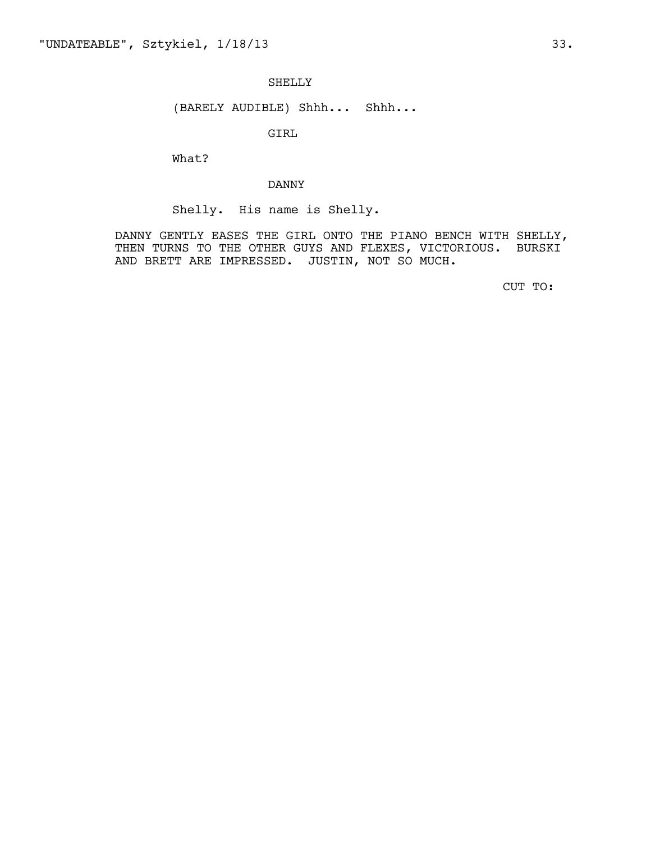### SHELLY

# (BARELY AUDIBLE) Shhh... Shhh...

GIRL

What?

### DANNY

Shelly. His name is Shelly.

DANNY GENTLY EASES THE GIRL ONTO THE PIANO BENCH WITH SHELLY, THEN TURNS TO THE OTHER GUYS AND FLEXES, VICTORIOUS. BURSKI AND BRETT ARE IMPRESSED. JUSTIN, NOT SO MUCH.

CUT TO: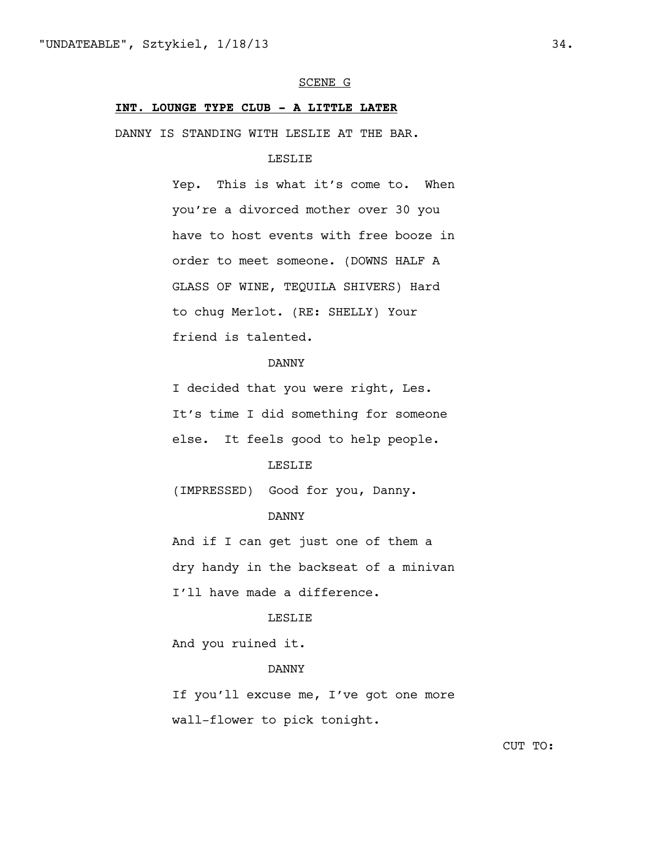#### SCENE G

# **INT. LOUNGE TYPE CLUB - A LITTLE LATER**

DANNY IS STANDING WITH LESLIE AT THE BAR.

#### LESLIE

Yep. This is what it's come to. When you're a divorced mother over 30 you have to host events with free booze in order to meet someone. (DOWNS HALF A GLASS OF WINE, TEQUILA SHIVERS) Hard to chug Merlot. (RE: SHELLY) Your friend is talented.

# DANNY

I decided that you were right, Les. It's time I did something for someone else. It feels good to help people.

### LESLIE

(IMPRESSED) Good for you, Danny.

#### DANNY

And if I can get just one of them a dry handy in the backseat of a minivan I'll have made a difference.

#### LESLIE

And you ruined it.

# DANNY

If you'll excuse me, I've got one more wall-flower to pick tonight.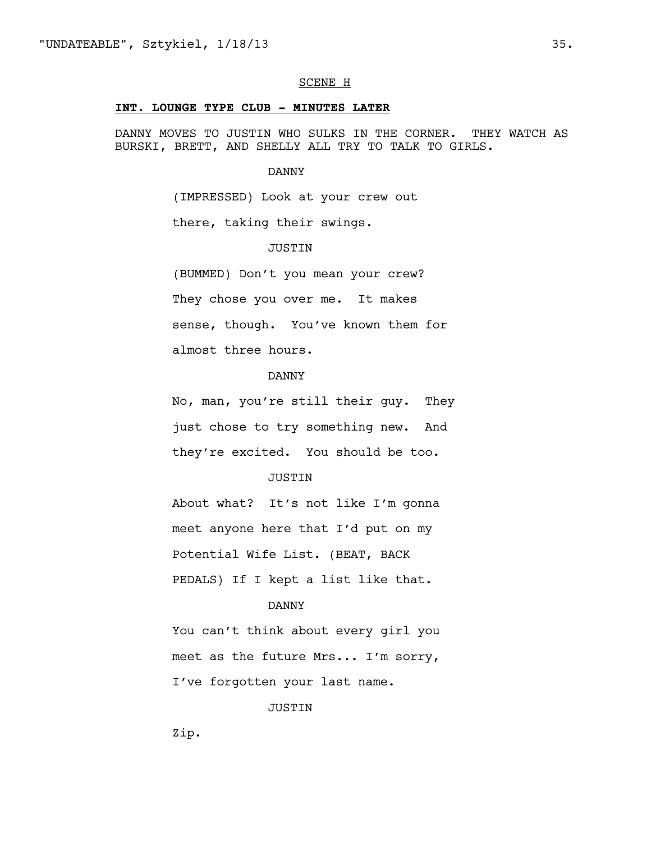#### SCENE H

#### **INT. LOUNGE TYPE CLUB - MINUTES LATER**

DANNY MOVES TO JUSTIN WHO SULKS IN THE CORNER. THEY WATCH AS BURSKI, BRETT, AND SHELLY ALL TRY TO TALK TO GIRLS.

#### DANNY

(IMPRESSED) Look at your crew out

there, taking their swings.

# **JUSTIN**

(BUMMED) Don't you mean your crew? They chose you over me. It makes sense, though. You've known them for almost three hours.

# DANNY

No, man, you're still their guy. They just chose to try something new. And they're excited. You should be too.

#### JUSTIN

About what? It's not like I'm gonna meet anyone here that I'd put on my Potential Wife List. (BEAT, BACK PEDALS) If I kept a list like that.

# DANNY

You can't think about every girl you meet as the future Mrs... I'm sorry, I've forgotten your last name.

### JUSTIN

Zip.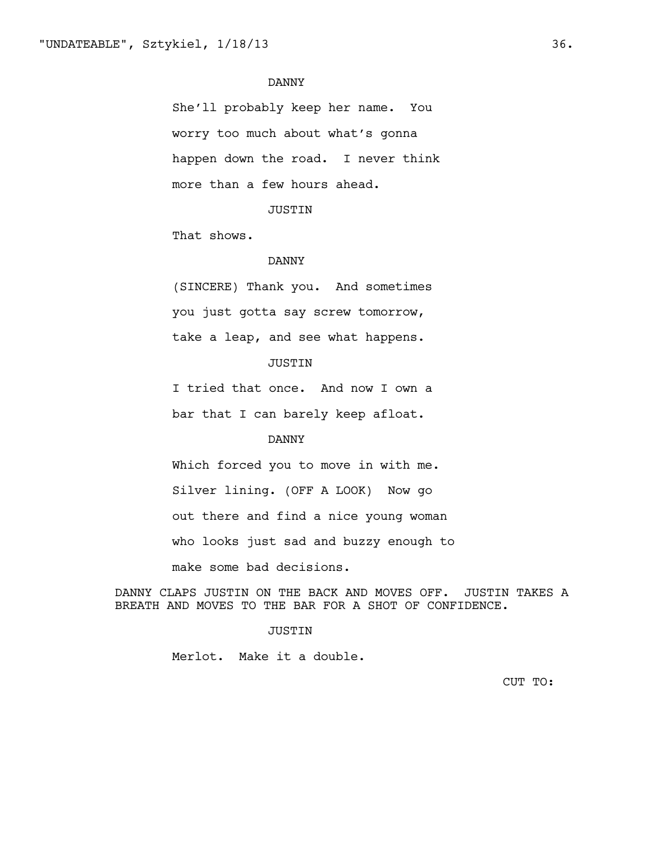She'll probably keep her name. You worry too much about what's gonna happen down the road. I never think more than a few hours ahead.

### JUSTIN

That shows.

#### DANNY

(SINCERE) Thank you. And sometimes you just gotta say screw tomorrow, take a leap, and see what happens.

# JUSTIN

I tried that once. And now I own a bar that I can barely keep afloat.

### DANNY

Which forced you to move in with me. Silver lining. (OFF A LOOK) Now go out there and find a nice young woman who looks just sad and buzzy enough to make some bad decisions.

DANNY CLAPS JUSTIN ON THE BACK AND MOVES OFF. JUSTIN TAKES A BREATH AND MOVES TO THE BAR FOR A SHOT OF CONFIDENCE.

#### JUSTIN

Merlot. Make it a double.

CUT TO: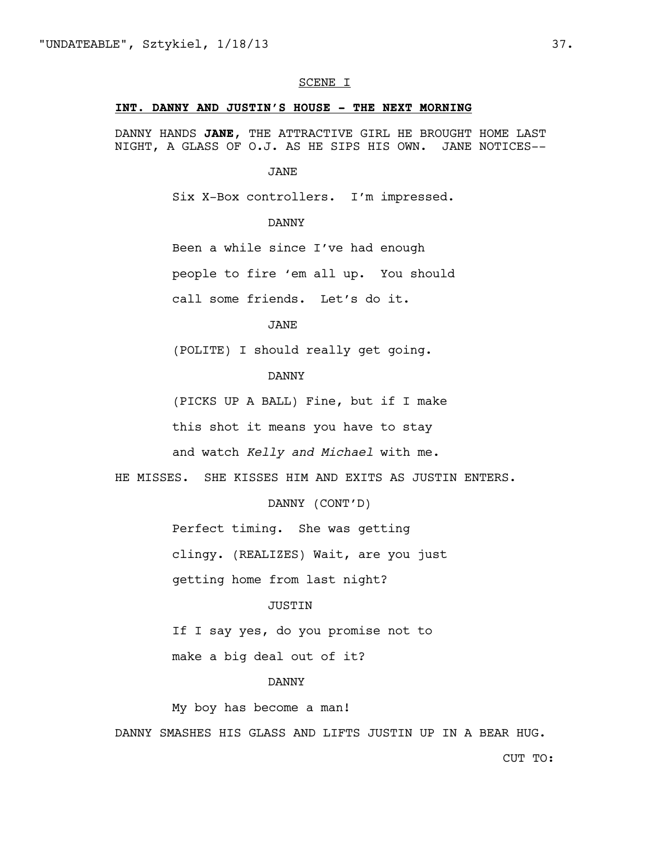#### SCENE I

#### **INT. DANNY AND JUSTIN'S HOUSE - THE NEXT MORNING**

DANNY HANDS **JANE**, THE ATTRACTIVE GIRL HE BROUGHT HOME LAST NIGHT, A GLASS OF O.J. AS HE SIPS HIS OWN. JANE NOTICES--

#### JANE

Six X-Box controllers. I'm impressed.

# DANNY

Been a while since I've had enough

people to fire 'em all up. You should

call some friends. Let's do it.

#### JANE

(POLITE) I should really get going.

# DANNY

(PICKS UP A BALL) Fine, but if I make

this shot it means you have to stay

and watch *Kelly and Michael* with me.

HE MISSES. SHE KISSES HIM AND EXITS AS JUSTIN ENTERS.

DANNY (CONT'D)

Perfect timing. She was getting

clingy. (REALIZES) Wait, are you just

getting home from last night?

#### JUSTIN

If I say yes, do you promise not to

make a big deal out of it?

#### DANNY

My boy has become a man!

DANNY SMASHES HIS GLASS AND LIFTS JUSTIN UP IN A BEAR HUG.

CUT TO: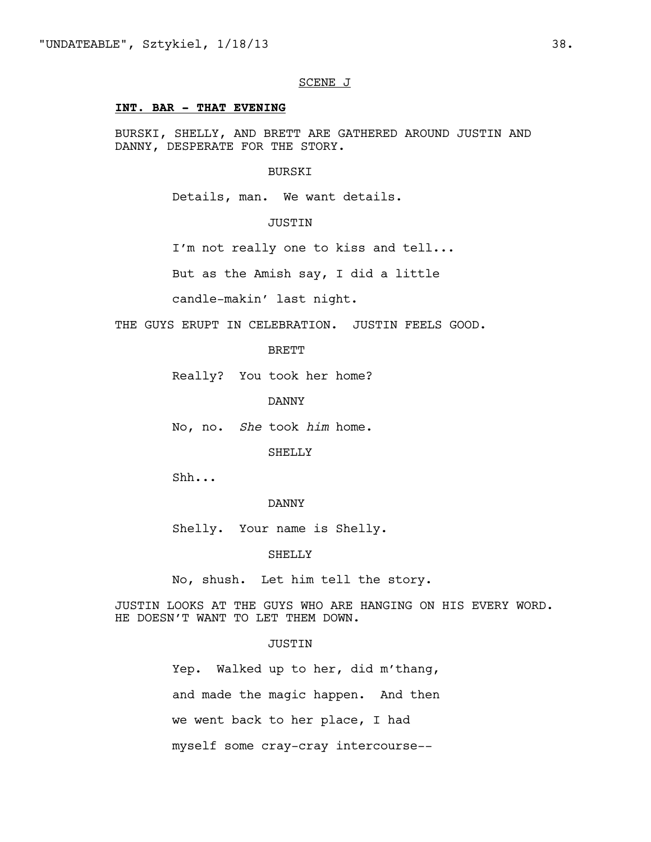# SCENE J

# **INT. BAR - THAT EVENING**

BURSKI, SHELLY, AND BRETT ARE GATHERED AROUND JUSTIN AND DANNY, DESPERATE FOR THE STORY.

#### BURSKI

Details, man. We want details.

### JUSTIN

I'm not really one to kiss and tell...

But as the Amish say, I did a little

candle-makin' last night.

THE GUYS ERUPT IN CELEBRATION. JUSTIN FEELS GOOD.

### BRETT

Really? You took her home?

DANNY

No, no. *She* took *him* home.

SHELLY

Shh...

# DANNY

Shelly. Your name is Shelly.

SHELLY

No, shush. Let him tell the story.

JUSTIN LOOKS AT THE GUYS WHO ARE HANGING ON HIS EVERY WORD. HE DOESN'T WANT TO LET THEM DOWN.

### **JUSTIN**

Yep. Walked up to her, did m'thang, and made the magic happen. And then we went back to her place, I had myself some cray-cray intercourse--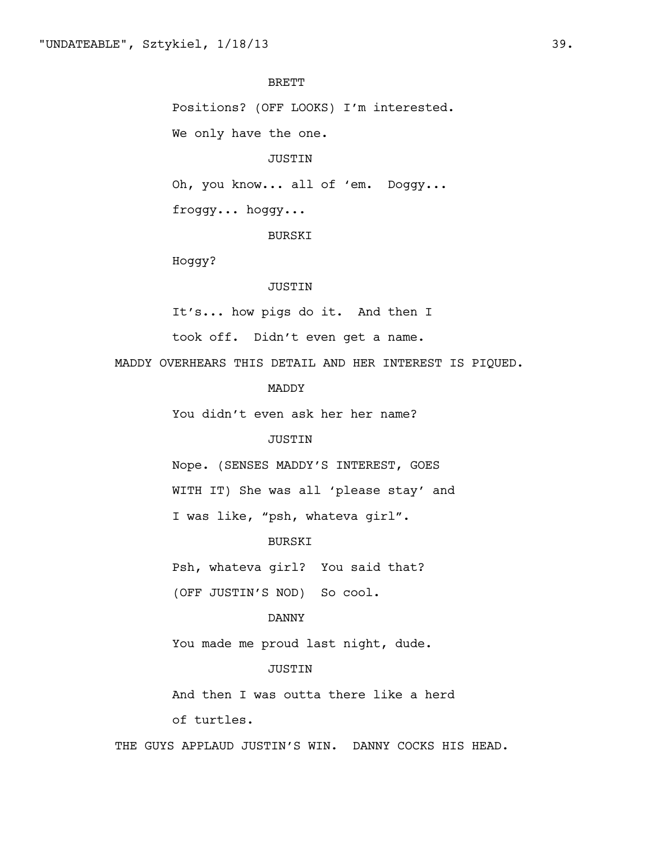# BRETT

Positions? (OFF LOOKS) I'm interested.

We only have the one.

#### JUSTIN

Oh, you know... all of 'em. Doggy...

froggy... hoggy...

BURSKI

Hoggy?

# JUSTIN

It's... how pigs do it. And then I

took off. Didn't even get a name.

MADDY OVERHEARS THIS DETAIL AND HER INTEREST IS PIQUED.

# MADDY

You didn't even ask her her name?

### JUSTIN

Nope. (SENSES MADDY'S INTEREST, GOES

WITH IT) She was all 'please stay' and

I was like, "psh, whateva girl".

### BURSKI

Psh, whateva girl? You said that?

(OFF JUSTIN'S NOD) So cool.

#### DANNY

You made me proud last night, dude.

# JUSTIN

And then I was outta there like a herd

of turtles.

THE GUYS APPLAUD JUSTIN'S WIN. DANNY COCKS HIS HEAD.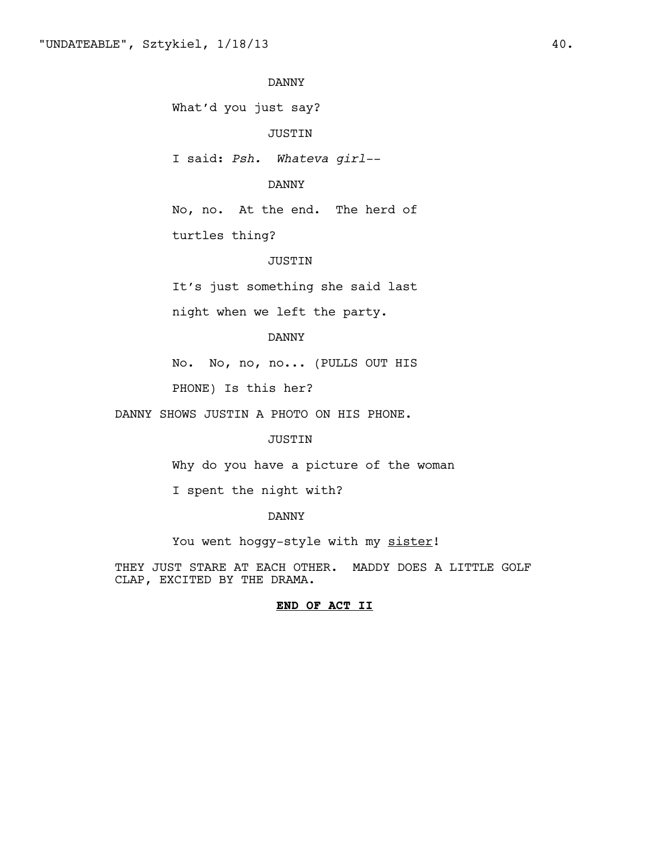What'd you just say?

JUSTIN

I said: *Psh. Whateva girl--*

# DANNY

No, no. At the end. The herd of

turtles thing?

#### JUSTIN

It's just something she said last

night when we left the party.

#### DANNY

No. No, no, no... (PULLS OUT HIS

PHONE) Is this her?

DANNY SHOWS JUSTIN A PHOTO ON HIS PHONE.

### JUSTIN

Why do you have a picture of the woman

I spent the night with?

### DANNY

You went hoggy-style with my sister!

THEY JUST STARE AT EACH OTHER. MADDY DOES A LITTLE GOLF CLAP, EXCITED BY THE DRAMA.

#### **END OF ACT II**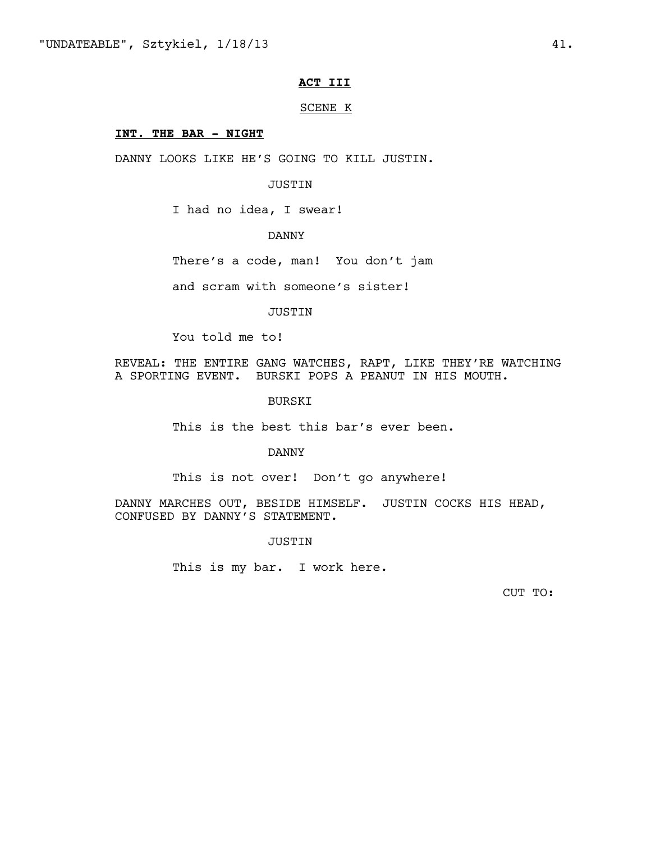# **ACT III**

#### SCENE K

#### **INT. THE BAR - NIGHT**

DANNY LOOKS LIKE HE'S GOING TO KILL JUSTIN.

# JUSTIN

I had no idea, I swear!

# DANNY

There's a code, man! You don't jam

and scram with someone's sister!

JUSTIN

You told me to!

REVEAL: THE ENTIRE GANG WATCHES, RAPT, LIKE THEY'RE WATCHING A SPORTING EVENT. BURSKI POPS A PEANUT IN HIS MOUTH.

BURSKI

This is the best this bar's ever been.

DANNY

This is not over! Don't go anywhere!

DANNY MARCHES OUT, BESIDE HIMSELF. JUSTIN COCKS HIS HEAD, CONFUSED BY DANNY'S STATEMENT.

JUSTIN

This is my bar. I work here.

CUT TO: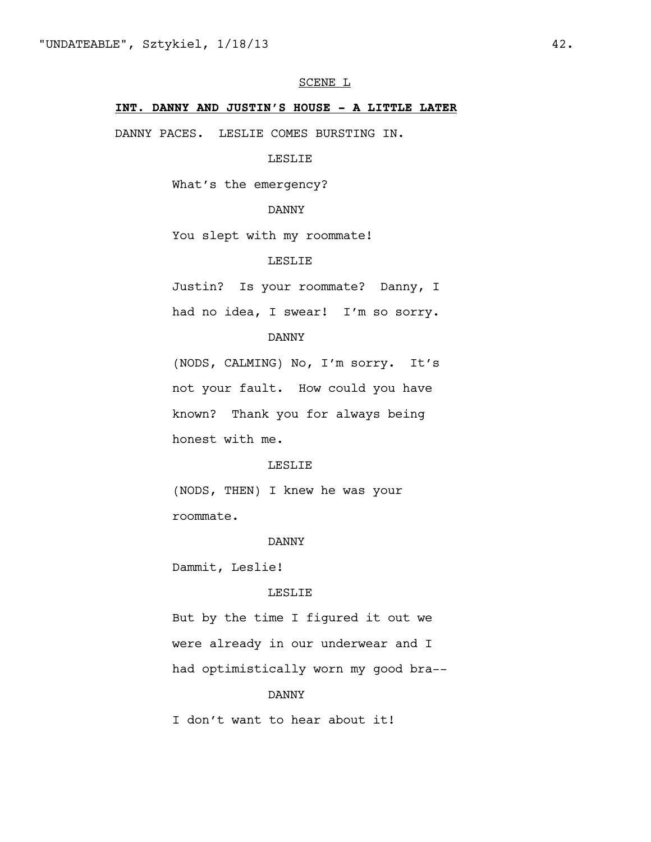# SCENE L

# **INT. DANNY AND JUSTIN'S HOUSE - A LITTLE LATER**

DANNY PACES. LESLIE COMES BURSTING IN.

# LESLIE

What's the emergency?

# DANNY

You slept with my roommate!

# LESLIE

Justin? Is your roommate? Danny, I

had no idea, I swear! I'm so sorry.

#### DANNY

(NODS, CALMING) No, I'm sorry. It's not your fault. How could you have known? Thank you for always being honest with me.

# LESLIE

(NODS, THEN) I knew he was your roommate.

#### DANNY

Dammit, Leslie!

#### LESLIE

But by the time I figured it out we were already in our underwear and I had optimistically worn my good bra--

#### DANNY

I don't want to hear about it!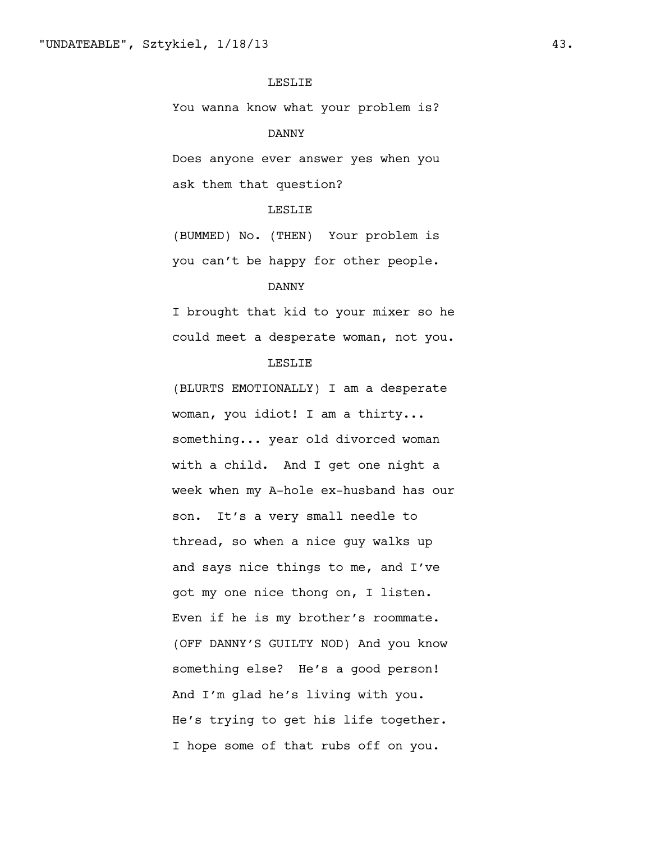### LESLIE

You wanna know what your problem is?

#### DANNY

Does anyone ever answer yes when you ask them that question?

#### LESLIE

(BUMMED) No. (THEN) Your problem is you can't be happy for other people.

# DANNY

I brought that kid to your mixer so he could meet a desperate woman, not you.

# LESLIE

(BLURTS EMOTIONALLY) I am a desperate woman, you idiot! I am a thirty... something... year old divorced woman with a child. And I get one night a week when my A-hole ex-husband has our son. It's a very small needle to thread, so when a nice guy walks up and says nice things to me, and I've got my one nice thong on, I listen. Even if he is my brother's roommate. (OFF DANNY'S GUILTY NOD) And you know something else? He's a good person! And I'm glad he's living with you. He's trying to get his life together. I hope some of that rubs off on you.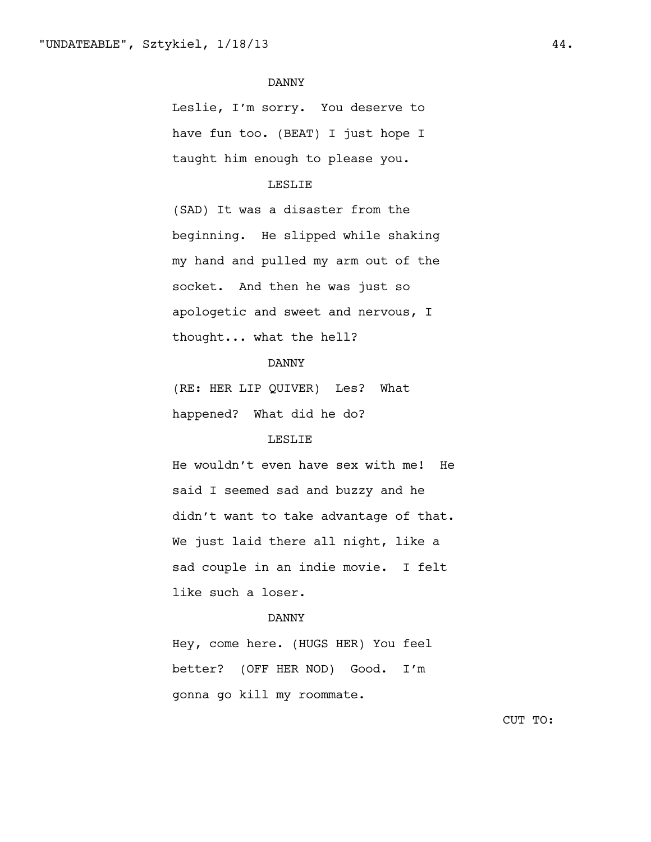Leslie, I'm sorry. You deserve to have fun too. (BEAT) I just hope I taught him enough to please you.

# LESLIE

(SAD) It was a disaster from the beginning. He slipped while shaking my hand and pulled my arm out of the socket. And then he was just so apologetic and sweet and nervous, I thought... what the hell?

# DANNY

(RE: HER LIP QUIVER) Les? What happened? What did he do?

# LESLIE

He wouldn't even have sex with me! He said I seemed sad and buzzy and he didn't want to take advantage of that. We just laid there all night, like a sad couple in an indie movie. I felt like such a loser.

#### DANNY

Hey, come here. (HUGS HER) You feel better? (OFF HER NOD) Good. I'm gonna go kill my roommate.

CUT TO: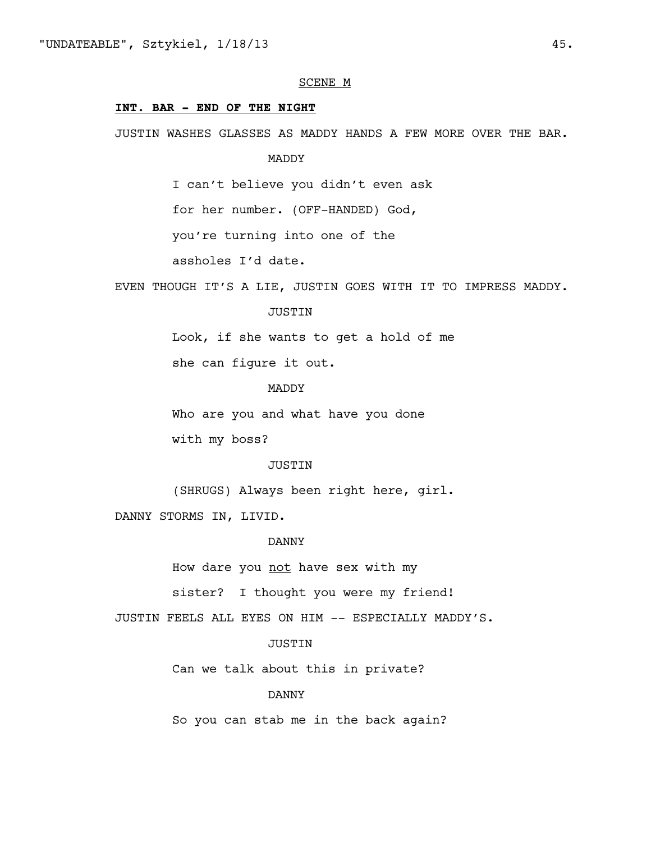#### SCENE M

### **INT. BAR - END OF THE NIGHT**

JUSTIN WASHES GLASSES AS MADDY HANDS A FEW MORE OVER THE BAR.

MADDY

I can't believe you didn't even ask

for her number. (OFF-HANDED) God,

you're turning into one of the

assholes I'd date.

EVEN THOUGH IT'S A LIE, JUSTIN GOES WITH IT TO IMPRESS MADDY.

#### JUSTIN

Look, if she wants to get a hold of me

she can figure it out.

# MADDY

Who are you and what have you done

with my boss?

#### JUSTIN

(SHRUGS) Always been right here, girl.

DANNY STORMS IN, LIVID.

#### DANNY

How dare you not have sex with my

sister? I thought you were my friend!

JUSTIN FEELS ALL EYES ON HIM -- ESPECIALLY MADDY'S.

# **JUSTIN**

Can we talk about this in private?

#### DANNY

So you can stab me in the back again?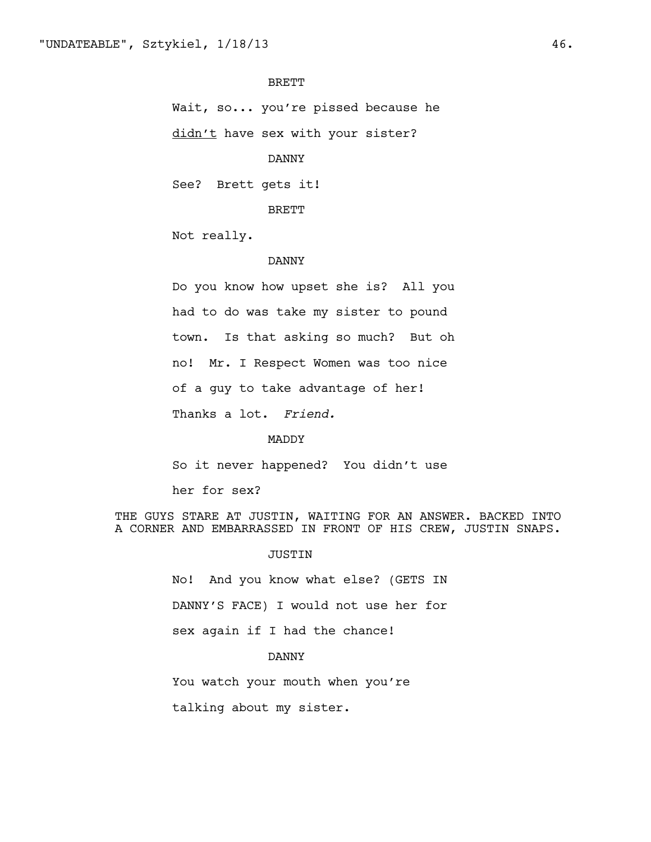BRETT

Wait, so... you're pissed because he

didn't have sex with your sister?

DANNY

See? Brett gets it!

BRETT

Not really.

#### DANNY

Do you know how upset she is? All you had to do was take my sister to pound town. Is that asking so much? But oh no! Mr. I Respect Women was too nice of a guy to take advantage of her! Thanks a lot. *Friend.*

MADDY

So it never happened? You didn't use

her for sex?

THE GUYS STARE AT JUSTIN, WAITING FOR AN ANSWER. BACKED INTO A CORNER AND EMBARRASSED IN FRONT OF HIS CREW, JUSTIN SNAPS.

JUSTIN

No! And you know what else? (GETS IN DANNY'S FACE) I would not use her for sex again if I had the chance!

DANNY

You watch your mouth when you're

talking about my sister.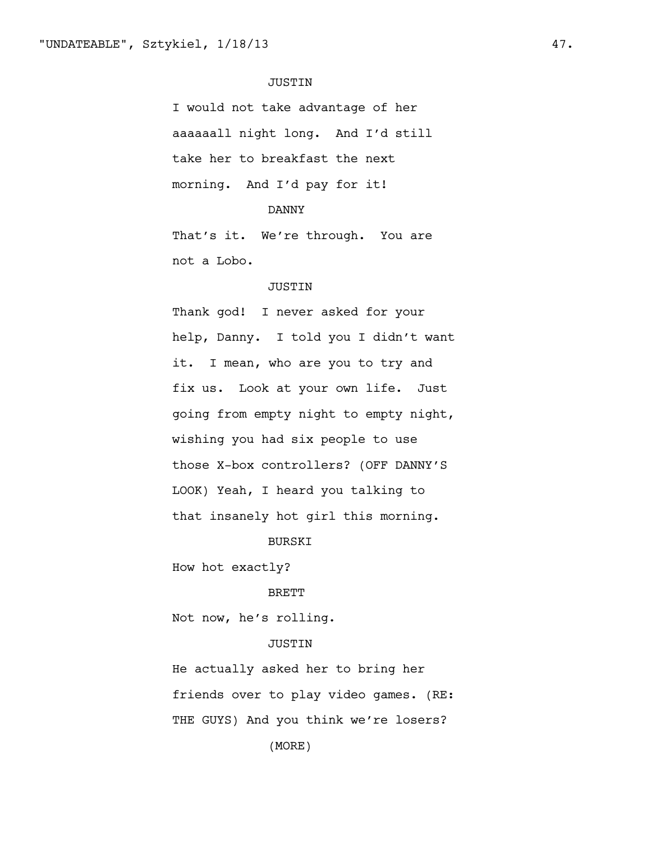### JUSTIN

I would not take advantage of her aaaaaall night long. And I'd still take her to breakfast the next morning. And I'd pay for it!

# DANNY

That's it. We're through. You are not a Lobo.

# JUSTIN

Thank god! I never asked for your help, Danny. I told you I didn't want it. I mean, who are you to try and fix us. Look at your own life. Just going from empty night to empty night, wishing you had six people to use those X-box controllers? (OFF DANNY'S LOOK) Yeah, I heard you talking to that insanely hot girl this morning.

### BURSKI

How hot exactly?

#### BRETT

Not now, he's rolling.

### **JUSTIN**

He actually asked her to bring her friends over to play video games. (RE: THE GUYS) And you think we're losers?

(MORE)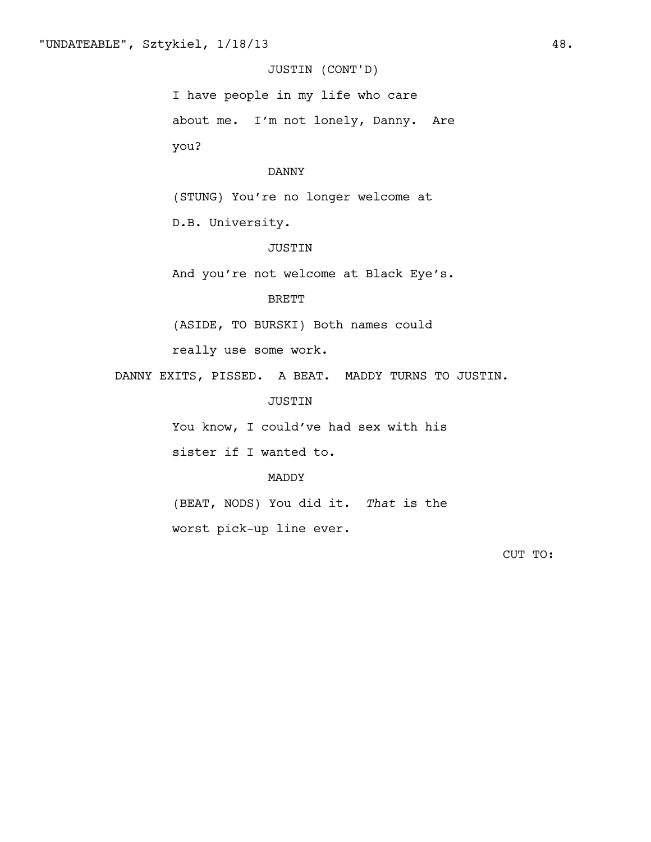# JUSTIN (CONT'D)

I have people in my life who care about me. I'm not lonely, Danny. Are you?

### DANNY

(STUNG) You're no longer welcome at

D.B. University.

# JUSTIN

And you're not welcome at Black Eye's.

# BRETT

(ASIDE, TO BURSKI) Both names could

really use some work.

DANNY EXITS, PISSED. A BEAT. MADDY TURNS TO JUSTIN.

JUSTIN

You know, I could've had sex with his

sister if I wanted to.

### MADDY

(BEAT, NODS) You did it. *That* is the

worst pick-up line ever.

CUT TO: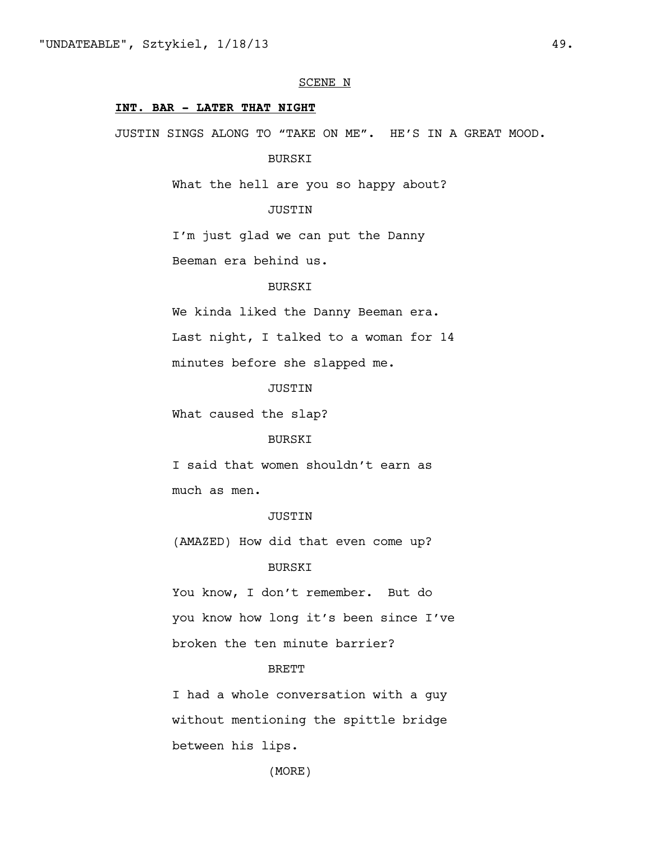#### SCENE N

### **INT. BAR - LATER THAT NIGHT**

JUSTIN SINGS ALONG TO "TAKE ON ME". HE'S IN A GREAT MOOD.

BURSKI

What the hell are you so happy about?

# JUSTIN

I'm just glad we can put the Danny

Beeman era behind us.

# BURSKI

We kinda liked the Danny Beeman era.

Last night, I talked to a woman for 14

minutes before she slapped me.

# **JUSTIN**

What caused the slap?

### BURSKI

I said that women shouldn't earn as much as men.

#### JUSTIN

(AMAZED) How did that even come up?

# BURSKI

You know, I don't remember. But do you know how long it's been since I've broken the ten minute barrier?

### **BRETT**

I had a whole conversation with a guy without mentioning the spittle bridge between his lips.

(MORE)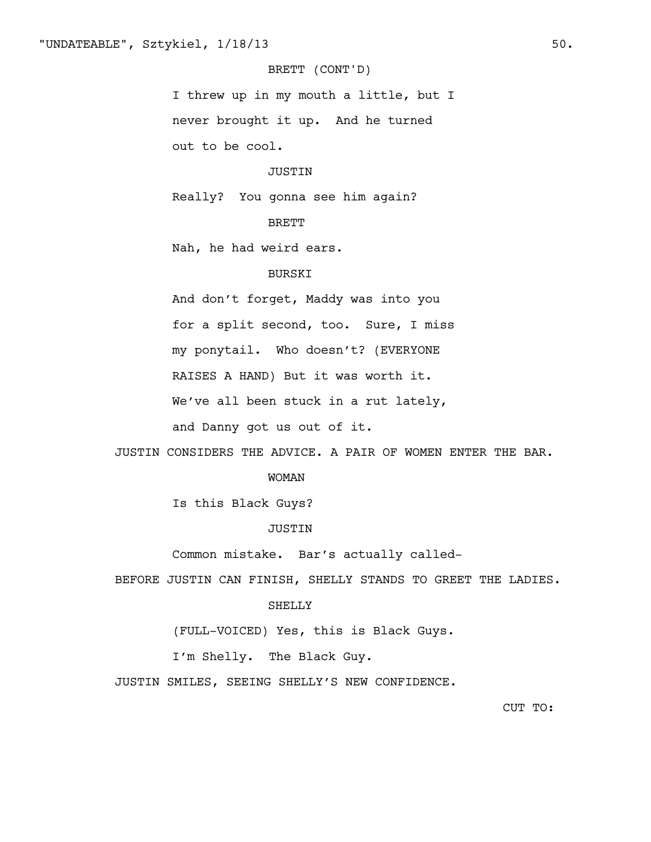# BRETT (CONT'D)

I threw up in my mouth a little, but I never brought it up. And he turned out to be cool.

#### JUSTIN

Really? You gonna see him again?

# BRETT

Nah, he had weird ears.

# BURSKI

And don't forget, Maddy was into you for a split second, too. Sure, I miss my ponytail. Who doesn't? (EVERYONE RAISES A HAND) But it was worth it. We've all been stuck in a rut lately,

and Danny got us out of it.

JUSTIN CONSIDERS THE ADVICE. A PAIR OF WOMEN ENTER THE BAR.

#### WOMAN

Is this Black Guys?

#### JUSTIN

Common mistake. Bar's actually called-

BEFORE JUSTIN CAN FINISH, SHELLY STANDS TO GREET THE LADIES.

### SHELLY

(FULL-VOICED) Yes, this is Black Guys.

I'm Shelly. The Black Guy.

JUSTIN SMILES, SEEING SHELLY'S NEW CONFIDENCE.

CUT TO: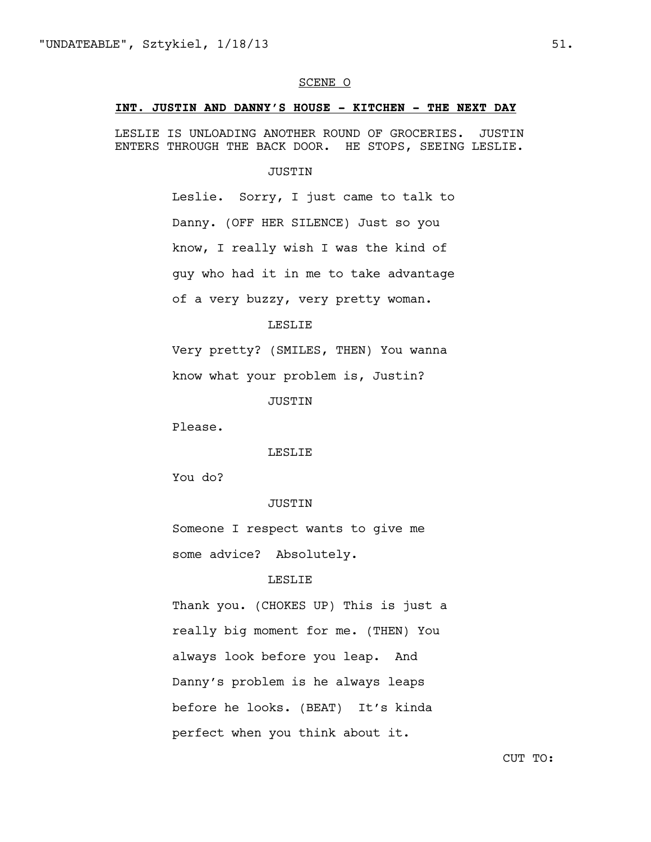#### SCENE O

### **INT. JUSTIN AND DANNY'S HOUSE - KITCHEN - THE NEXT DAY**

LESLIE IS UNLOADING ANOTHER ROUND OF GROCERIES. JUSTIN ENTERS THROUGH THE BACK DOOR. HE STOPS, SEEING LESLIE.

#### JUSTIN

Leslie. Sorry, I just came to talk to Danny. (OFF HER SILENCE) Just so you know, I really wish I was the kind of guy who had it in me to take advantage of a very buzzy, very pretty woman.

### LESLIE

Very pretty? (SMILES, THEN) You wanna

know what your problem is, Justin?

JUSTIN

Please.

LESLIE

You do?

# JUSTIN

Someone I respect wants to give me some advice? Absolutely.

# LESLIE

Thank you. (CHOKES UP) This is just a really big moment for me. (THEN) You always look before you leap. And Danny's problem is he always leaps before he looks. (BEAT) It's kinda perfect when you think about it.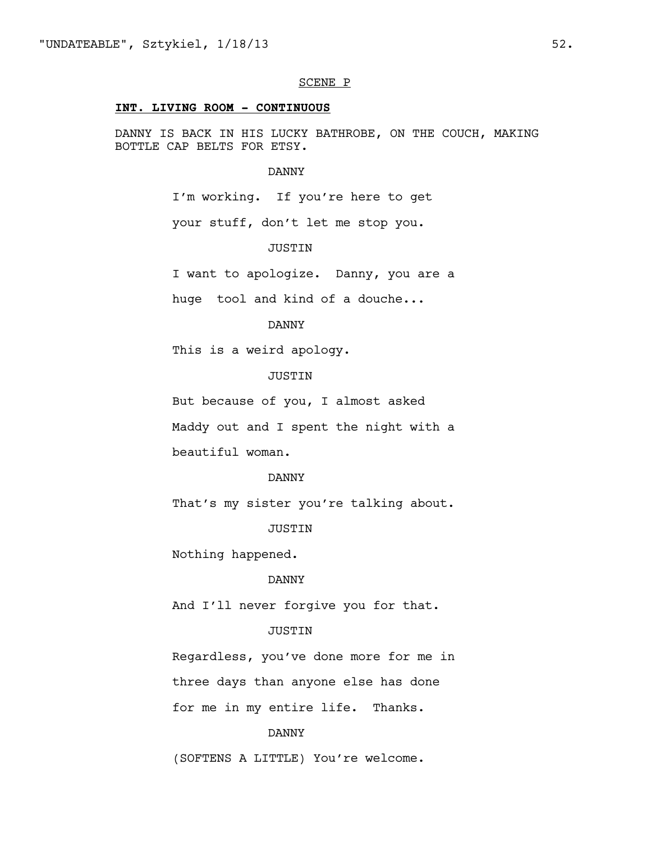#### SCENE P

### **INT. LIVING ROOM - CONTINUOUS**

DANNY IS BACK IN HIS LUCKY BATHROBE, ON THE COUCH, MAKING BOTTLE CAP BELTS FOR ETSY.

#### DANNY

I'm working. If you're here to get

your stuff, don't let me stop you.

# JUSTIN

I want to apologize. Danny, you are a

huge tool and kind of a douche...

# DANNY

This is a weird apology.

# JUSTIN

But because of you, I almost asked

Maddy out and I spent the night with a

beautiful woman.

#### DANNY

That's my sister you're talking about.

#### JUSTIN

Nothing happened.

# DANNY

And I'll never forgive you for that.

### JUSTIN

Regardless, you've done more for me in three days than anyone else has done for me in my entire life. Thanks.

#### DANNY

(SOFTENS A LITTLE) You're welcome.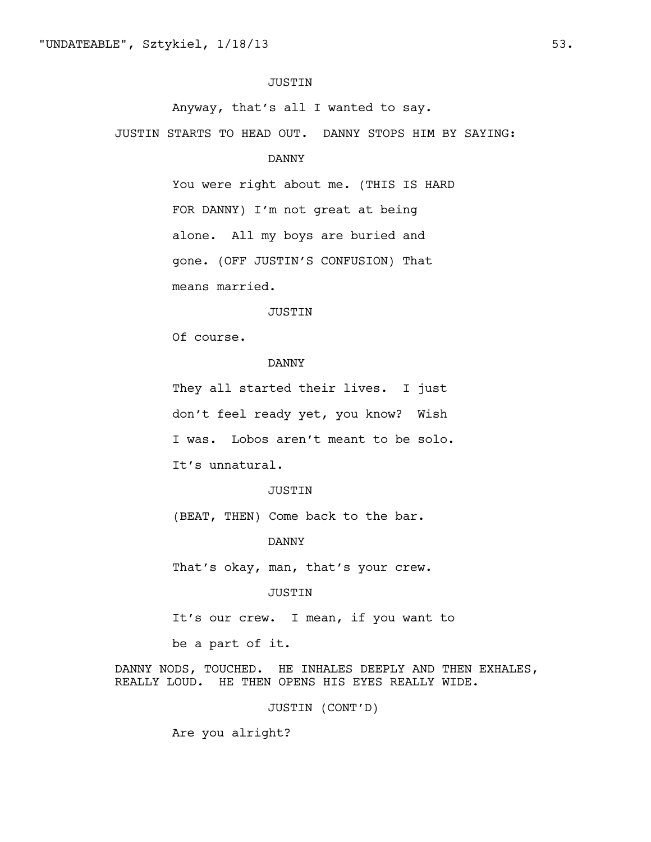### JUSTIN

Anyway, that's all I wanted to say.

JUSTIN STARTS TO HEAD OUT. DANNY STOPS HIM BY SAYING:

# DANNY

You were right about me. (THIS IS HARD FOR DANNY) I'm not great at being alone. All my boys are buried and gone. (OFF JUSTIN'S CONFUSION) That means married.

#### JUSTIN

Of course.

# DANNY

They all started their lives. I just don't feel ready yet, you know? Wish I was. Lobos aren't meant to be solo. It's unnatural.

# JUSTIN

(BEAT, THEN) Come back to the bar.

DANNY

That's okay, man, that's your crew.

#### JUSTIN

It's our crew. I mean, if you want to

be a part of it.

DANNY NODS, TOUCHED. HE INHALES DEEPLY AND THEN EXHALES, REALLY LOUD. HE THEN OPENS HIS EYES REALLY WIDE.

JUSTIN (CONT'D)

Are you alright?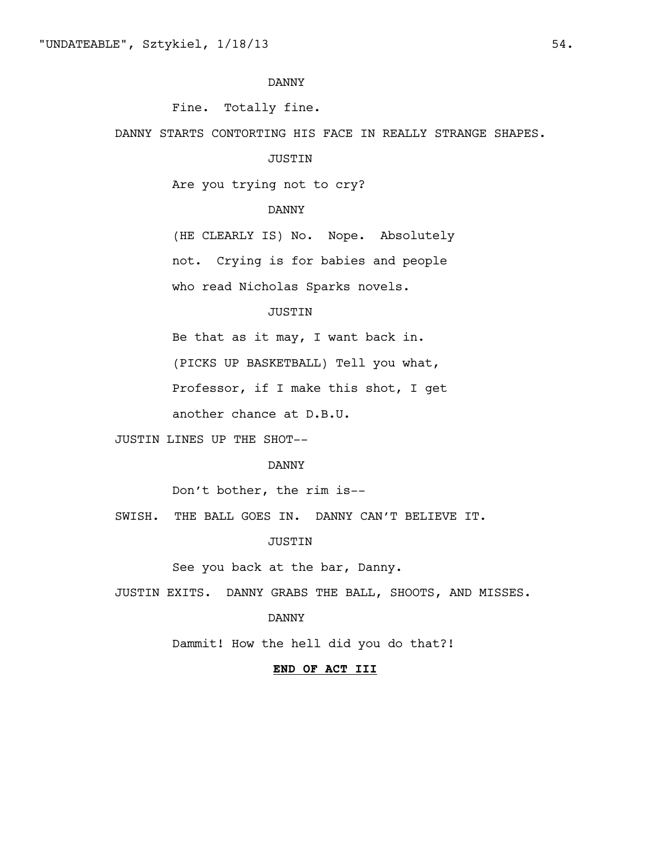Fine. Totally fine.

DANNY STARTS CONTORTING HIS FACE IN REALLY STRANGE SHAPES.

### JUSTIN

Are you trying not to cry?

# DANNY

(HE CLEARLY IS) No. Nope. Absolutely

not. Crying is for babies and people

who read Nicholas Sparks novels.

# JUSTIN

Be that as it may, I want back in.

(PICKS UP BASKETBALL) Tell you what,

Professor, if I make this shot, I get

another chance at D.B.U.

JUSTIN LINES UP THE SHOT--

# DANNY

Don't bother, the rim is--

SWISH. THE BALL GOES IN. DANNY CAN'T BELIEVE IT.

JUSTIN

See you back at the bar, Danny.

JUSTIN EXITS. DANNY GRABS THE BALL, SHOOTS, AND MISSES.

#### DANNY

Dammit! How the hell did you do that?!

# **END OF ACT III**